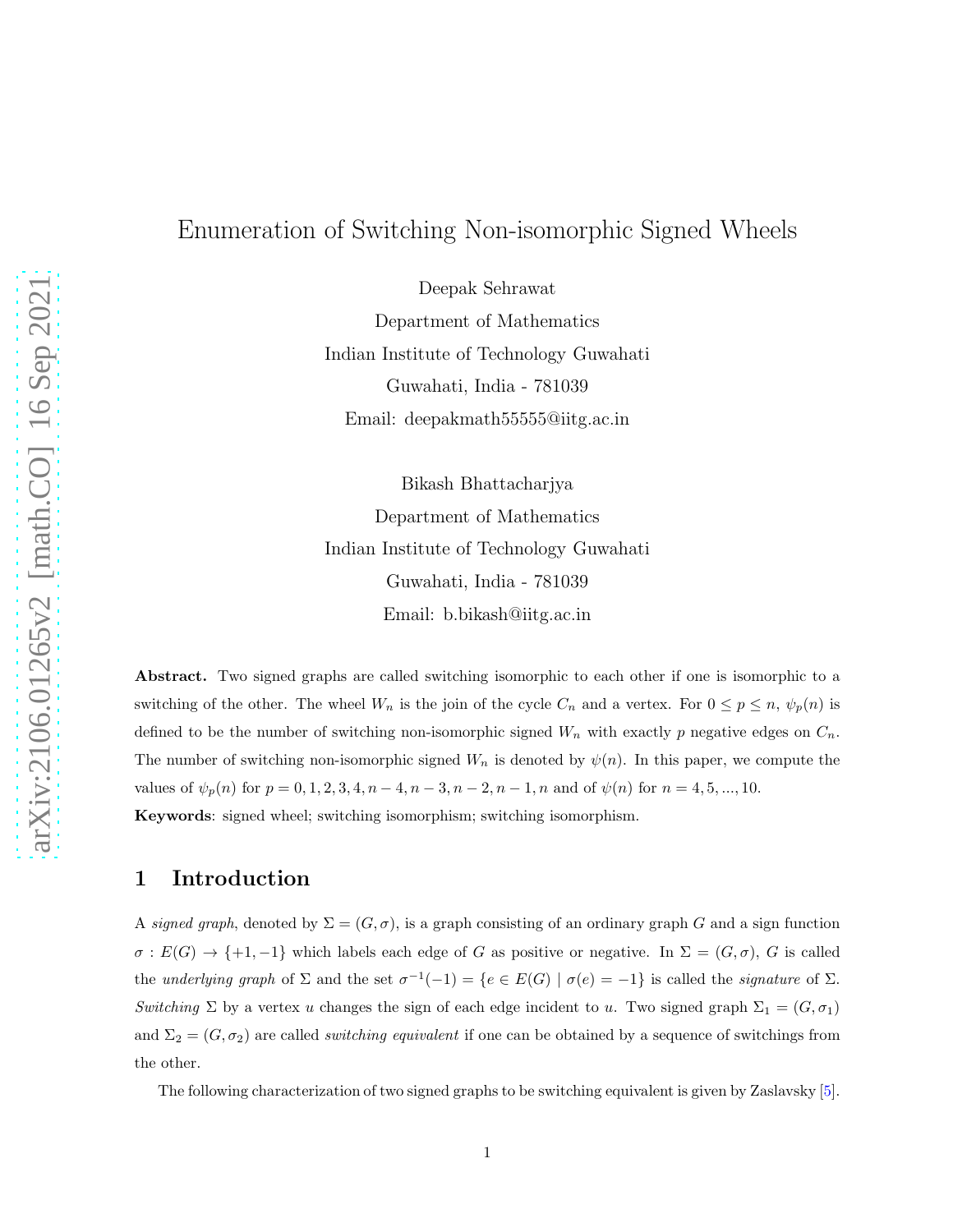# Enumeration of Switching Non-isomorphic Signed Wheels

Deepak Sehrawat Department of Mathematics Indian Institute of Technology Guwahati Guwahati, India - 781039 Email: deepakmath55555@iitg.ac.in

Bikash Bhattacharjya Department of Mathematics Indian Institute of Technology Guwahati Guwahati, India - 781039 Email: b.bikash@iitg.ac.in

Abstract. Two signed graphs are called switching isomorphic to each other if one is isomorphic to a switching of the other. The wheel  $W_n$  is the join of the cycle  $C_n$  and a vertex. For  $0 \le p \le n$ ,  $\psi_p(n)$  is defined to be the number of switching non-isomorphic signed  $W_n$  with exactly p negative edges on  $C_n$ . The number of switching non-isomorphic signed  $W_n$  is denoted by  $\psi(n)$ . In this paper, we compute the values of  $\psi_p(n)$  for  $p = 0, 1, 2, 3, 4, n - 4, n - 3, n - 2, n - 1, n$  and of  $\psi(n)$  for  $n = 4, 5, ..., 10$ . Keywords: signed wheel; switching isomorphism; switching isomorphism.

### 1 Introduction

A signed graph, denoted by  $\Sigma = (G, \sigma)$ , is a graph consisting of an ordinary graph G and a sign function  $\sigma: E(G) \to \{+1,-1\}$  which labels each edge of G as positive or negative. In  $\Sigma = (G,\sigma)$ , G is called the underlying graph of  $\Sigma$  and the set  $\sigma^{-1}(-1) = \{e \in E(G) \mid \sigma(e) = -1\}$  is called the *signature* of  $\Sigma$ . Switching  $\Sigma$  by a vertex u changes the sign of each edge incident to u. Two signed graph  $\Sigma_1 = (G, \sigma_1)$ and  $\Sigma_2 = (G, \sigma_2)$  are called *switching equivalent* if one can be obtained by a sequence of switchings from the other.

The following characterization of two signed graphs to be switching equivalent is given by Zaslavsky [\[5\]](#page-28-0).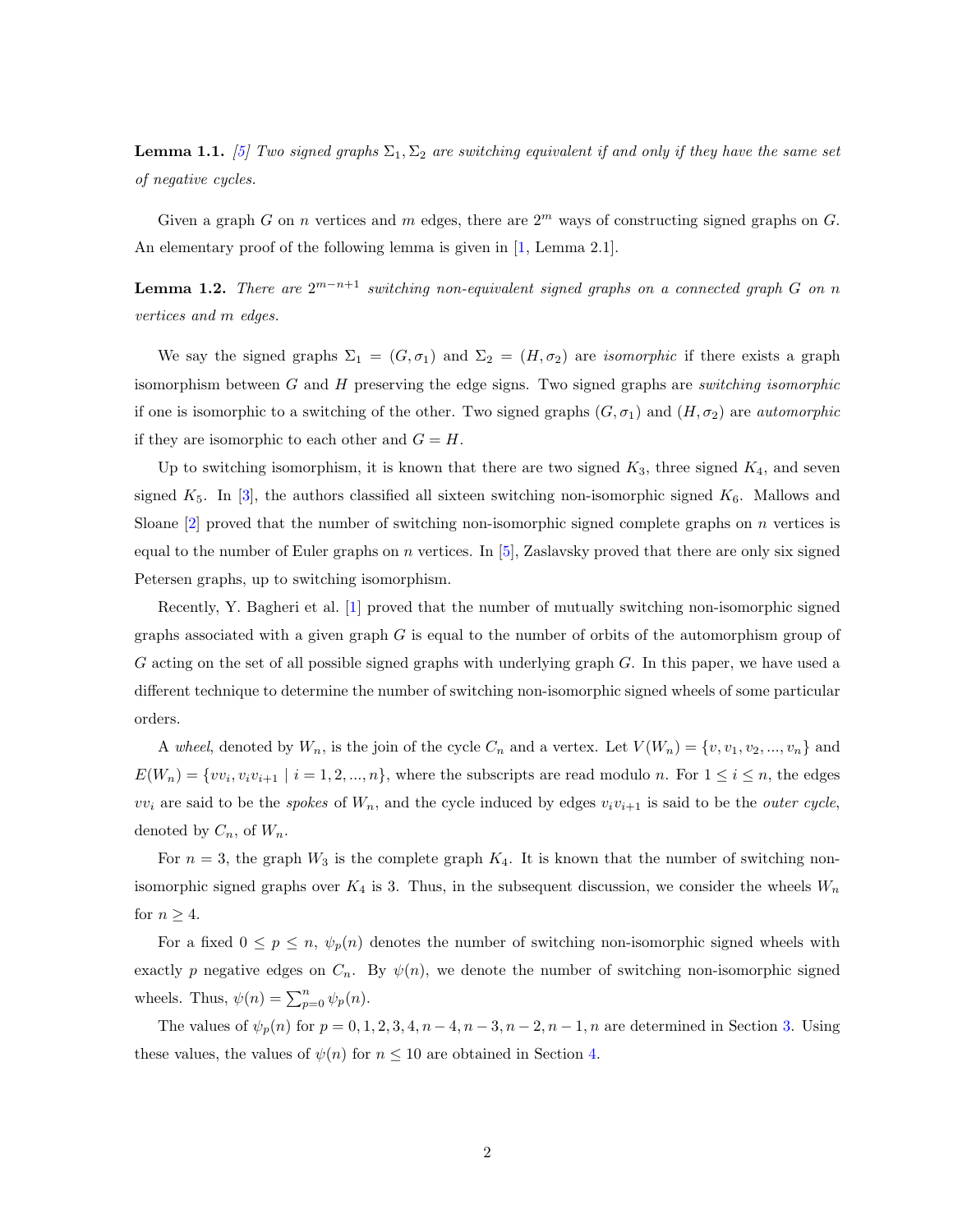**Lemma 1.1.** [\[5\]](#page-28-0) Two signed graphs  $\Sigma_1$ ,  $\Sigma_2$  are switching equivalent if and only if they have the same set of negative cycles.

Given a graph G on n vertices and m edges, there are  $2<sup>m</sup>$  ways of constructing signed graphs on G. An elementary proof of the following lemma is given in [\[1,](#page-27-0) Lemma 2.1].

**Lemma 1.2.** There are  $2^{m-n+1}$  switching non-equivalent signed graphs on a connected graph G on n vertices and m edges.

We say the signed graphs  $\Sigma_1 = (G, \sigma_1)$  and  $\Sigma_2 = (H, \sigma_2)$  are *isomorphic* if there exists a graph isomorphism between  $G$  and  $H$  preserving the edge signs. Two signed graphs are *switching isomorphic* if one is isomorphic to a switching of the other. Two signed graphs  $(G, \sigma_1)$  and  $(H, \sigma_2)$  are *automorphic* if they are isomorphic to each other and  $G = H$ .

Up to switching isomorphism, it is known that there are two signed  $K_3$ , three signed  $K_4$ , and seven signed  $K_5$ . In [\[3\]](#page-28-1), the authors classified all sixteen switching non-isomorphic signed  $K_6$ . Mallows and Sloane  $[2]$  proved that the number of switching non-isomorphic signed complete graphs on n vertices is equal to the number of Euler graphs on n vertices. In  $[5]$ , Zaslavsky proved that there are only six signed Petersen graphs, up to switching isomorphism.

Recently, Y. Bagheri et al. [\[1\]](#page-27-0) proved that the number of mutually switching non-isomorphic signed graphs associated with a given graph  $G$  is equal to the number of orbits of the automorphism group of G acting on the set of all possible signed graphs with underlying graph G. In this paper, we have used a different technique to determine the number of switching non-isomorphic signed wheels of some particular orders.

A wheel, denoted by  $W_n$ , is the join of the cycle  $C_n$  and a vertex. Let  $V(W_n) = \{v, v_1, v_2, ..., v_n\}$  and  $E(W_n) = \{vv_i, v_iv_{i+1} \mid i = 1, 2, ..., n\}$ , where the subscripts are read modulo n. For  $1 \le i \le n$ , the edges  $vv_i$  are said to be the spokes of  $W_n$ , and the cycle induced by edges  $v_i v_{i+1}$  is said to be the *outer cycle*, denoted by  $C_n$ , of  $W_n$ .

For  $n = 3$ , the graph  $W_3$  is the complete graph  $K_4$ . It is known that the number of switching nonisomorphic signed graphs over  $K_4$  is 3. Thus, in the subsequent discussion, we consider the wheels  $W_n$ for  $n \geq 4$ .

For a fixed  $0 \leq p \leq n$ ,  $\psi_p(n)$  denotes the number of switching non-isomorphic signed wheels with exactly p negative edges on  $C_n$ . By  $\psi(n)$ , we denote the number of switching non-isomorphic signed wheels. Thus,  $\psi(n) = \sum_{p=0}^{n} \psi_p(n)$ .

The values of  $\psi_p(n)$  for  $p = 0, 1, 2, 3, 4, n - 4, n - 3, n - 2, n - 1, n$  are determined in Section [3.](#page-20-0) Using these values, the values of  $\psi(n)$  for  $n \leq 10$  are obtained in Section [4.](#page-24-0)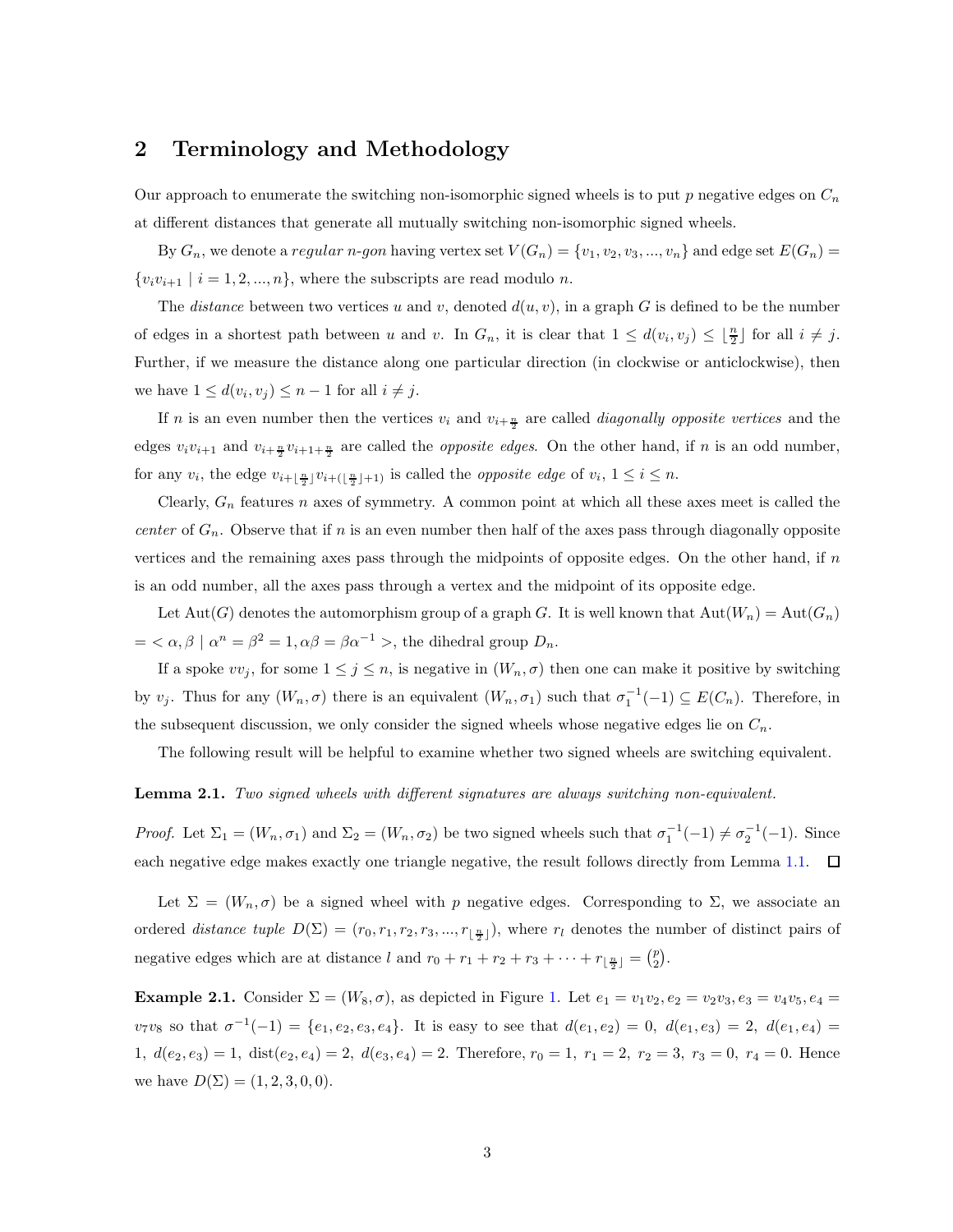### 2 Terminology and Methodology

Our approach to enumerate the switching non-isomorphic signed wheels is to put p negative edges on  $C_n$ at different distances that generate all mutually switching non-isomorphic signed wheels.

By  $G_n$ , we denote a regular n-gon having vertex set  $V(G_n) = \{v_1, v_2, v_3, ..., v_n\}$  and edge set  $E(G_n)$  $\{v_i v_{i+1} \mid i = 1, 2, ..., n\}$ , where the subscripts are read modulo n.

The *distance* between two vertices u and v, denoted  $d(u, v)$ , in a graph G is defined to be the number of edges in a shortest path between u and v. In  $G_n$ , it is clear that  $1 \leq d(v_i, v_j) \leq \lfloor \frac{n}{2} \rfloor$  for all  $i \neq j$ . Further, if we measure the distance along one particular direction (in clockwise or anticlockwise), then we have  $1 \leq d(v_i, v_j) \leq n-1$  for all  $i \neq j$ .

If *n* is an even number then the vertices  $v_i$  and  $v_{i+\frac{n}{2}}$  are called *diagonally opposite vertices* and the edges  $v_i v_{i+1}$  and  $v_{i+\frac{n}{2}} v_{i+1+\frac{n}{2}}$  are called the *opposite edges*. On the other hand, if n is an odd number, for any  $v_i$ , the edge  $v_{i+\lfloor \frac{n}{2} \rfloor}v_{i+\lfloor \frac{n}{2} \rfloor+1}$  is called the *opposite edge* of  $v_i$ ,  $1 \leq i \leq n$ .

Clearly,  $G_n$  features n axes of symmetry. A common point at which all these axes meet is called the center of  $G_n$ . Observe that if n is an even number then half of the axes pass through diagonally opposite vertices and the remaining axes pass through the midpoints of opposite edges. On the other hand, if  $n$ is an odd number, all the axes pass through a vertex and the midpoint of its opposite edge.

Let  $Aut(G)$  denotes the automorphism group of a graph G. It is well known that  $Aut(W_n) = Aut(G_n)$  $= \langle \alpha, \beta | \alpha^n = \beta^2 = 1, \alpha \beta = \beta \alpha^{-1} \rangle$ , the dihedral group  $D_n$ .

If a spoke  $vv_j$ , for some  $1 \leq j \leq n$ , is negative in  $(W_n, \sigma)$  then one can make it positive by switching by  $v_j$ . Thus for any  $(W_n, \sigma)$  there is an equivalent  $(W_n, \sigma_1)$  such that  $\sigma_1^{-1}(-1) \subseteq E(C_n)$ . Therefore, in the subsequent discussion, we only consider the signed wheels whose negative edges lie on  $C_n$ .

The following result will be helpful to examine whether two signed wheels are switching equivalent.

#### Lemma 2.1. Two signed wheels with different signatures are always switching non-equivalent.

Proof. Let  $\Sigma_1 = (W_n, \sigma_1)$  and  $\Sigma_2 = (W_n, \sigma_2)$  be two signed wheels such that  $\sigma_1^{-1}(-1) \neq \sigma_2^{-1}(-1)$ . Since each negative edge makes exactly one triangle negative, the result follows directly from Lemma [1.1.](#page-15-0)  $\Box$ 

Let  $\Sigma = (W_n, \sigma)$  be a signed wheel with p negative edges. Corresponding to  $\Sigma$ , we associate an ordered *distance tuple*  $D(\Sigma) = (r_0, r_1, r_2, r_3, ..., r_{\lfloor \frac{n}{2} \rfloor})$ , where  $r_l$  denotes the number of distinct pairs of negative edges which are at distance l and  $r_0 + r_1 + r_2 + r_3 + \cdots + r_{\lfloor \frac{n}{2} \rfloor} = \binom{p}{2}$ .

**Example 2.[1.](#page-18-0)** Consider  $\Sigma = (W_8, \sigma)$ , as depicted in Figure 1. Let  $e_1 = v_1v_2, e_2 = v_2v_3, e_3 = v_4v_5, e_4 = v_5v_6$  $v_7v_8$  so that  $\sigma^{-1}(-1) = \{e_1, e_2, e_3, e_4\}$ . It is easy to see that  $d(e_1, e_2) = 0$ ,  $d(e_1, e_3) = 2$ ,  $d(e_1, e_4) =$ 1,  $d(e_2, e_3) = 1$ ,  $dist(e_2, e_4) = 2$ ,  $d(e_3, e_4) = 2$ . Therefore,  $r_0 = 1$ ,  $r_1 = 2$ ,  $r_2 = 3$ ,  $r_3 = 0$ ,  $r_4 = 0$ . Hence we have  $D(\Sigma) = (1, 2, 3, 0, 0).$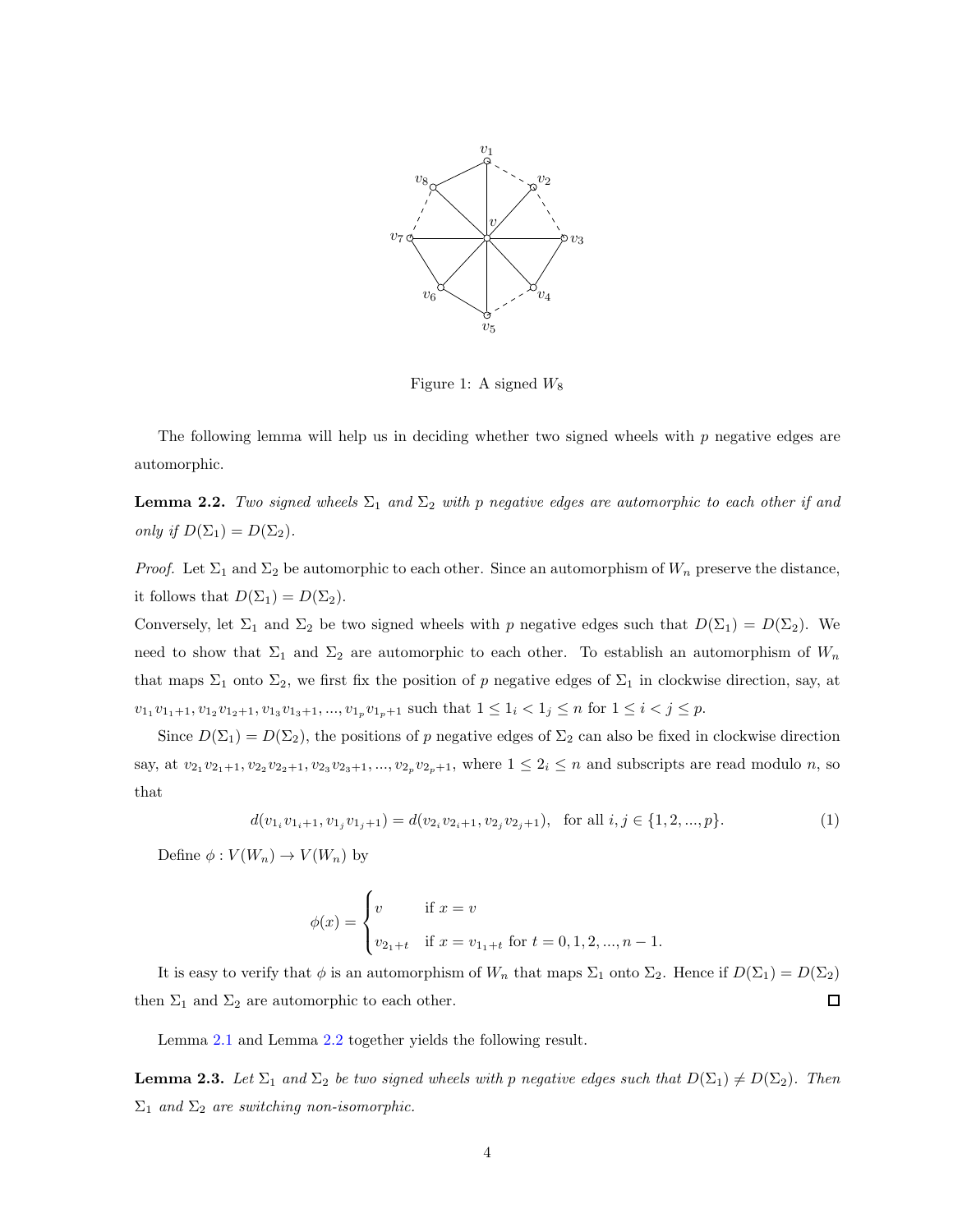

Figure 1: A signed  $W_8$ 

The following lemma will help us in deciding whether two signed wheels with  $p$  negative edges are automorphic.

**Lemma 2.2.** Two signed wheels  $\Sigma_1$  and  $\Sigma_2$  with p negative edges are automorphic to each other if and only if  $D(\Sigma_1) = D(\Sigma_2)$ .

*Proof.* Let  $\Sigma_1$  and  $\Sigma_2$  be automorphic to each other. Since an automorphism of  $W_n$  preserve the distance, it follows that  $D(\Sigma_1) = D(\Sigma_2)$ .

Conversely, let  $\Sigma_1$  and  $\Sigma_2$  be two signed wheels with p negative edges such that  $D(\Sigma_1) = D(\Sigma_2)$ . We need to show that  $\Sigma_1$  and  $\Sigma_2$  are automorphic to each other. To establish an automorphism of  $W_n$ that maps  $\Sigma_1$  onto  $\Sigma_2$ , we first fix the position of p negative edges of  $\Sigma_1$  in clockwise direction, say, at  $v_{1_1}v_{1_1+1}, v_{1_2}v_{1_2+1}, v_{1_3}v_{1_3+1}, ..., v_{1_p}v_{1_p+1}$  such that  $1 \leq 1_i < 1_j \leq n$  for  $1 \leq i < j \leq p$ .

Since  $D(\Sigma_1) = D(\Sigma_2)$ , the positions of p negative edges of  $\Sigma_2$  can also be fixed in clockwise direction say, at  $v_{21}v_{21+1}, v_{22}v_{22+1}, v_{23}v_{23+1}, ..., v_{2p}v_{2p+1}$ , where  $1 \leq 2_i \leq n$  and subscripts are read modulo n, so that

$$
d(v_{1_i}v_{1_i+1}, v_{1_j}v_{1_j+1}) = d(v_{2_i}v_{2_i+1}, v_{2_j}v_{2_j+1}), \text{ for all } i, j \in \{1, 2, ..., p\}. \tag{1}
$$

Define  $\phi: V(W_n) \to V(W_n)$  by

$$
\phi(x) = \begin{cases} v & \text{if } x = v \\ v_{2_1+t} & \text{if } x = v_{1_1+t} \text{ for } t = 0, 1, 2, ..., n-1. \end{cases}
$$

It is easy to verify that  $\phi$  is an automorphism of  $W_n$  that maps  $\Sigma_1$  onto  $\Sigma_2$ . Hence if  $D(\Sigma_1) = D(\Sigma_2)$  $\Box$ then  $\Sigma_1$  and  $\Sigma_2$  are automorphic to each other.

Lemma [2.1](#page-17-0) and Lemma [2.2](#page-18-1) together yields the following result.

**Lemma 2.3.** Let  $\Sigma_1$  and  $\Sigma_2$  be two signed wheels with p negative edges such that  $D(\Sigma_1) \neq D(\Sigma_2)$ . Then  $\Sigma_1$  and  $\Sigma_2$  are switching non-isomorphic.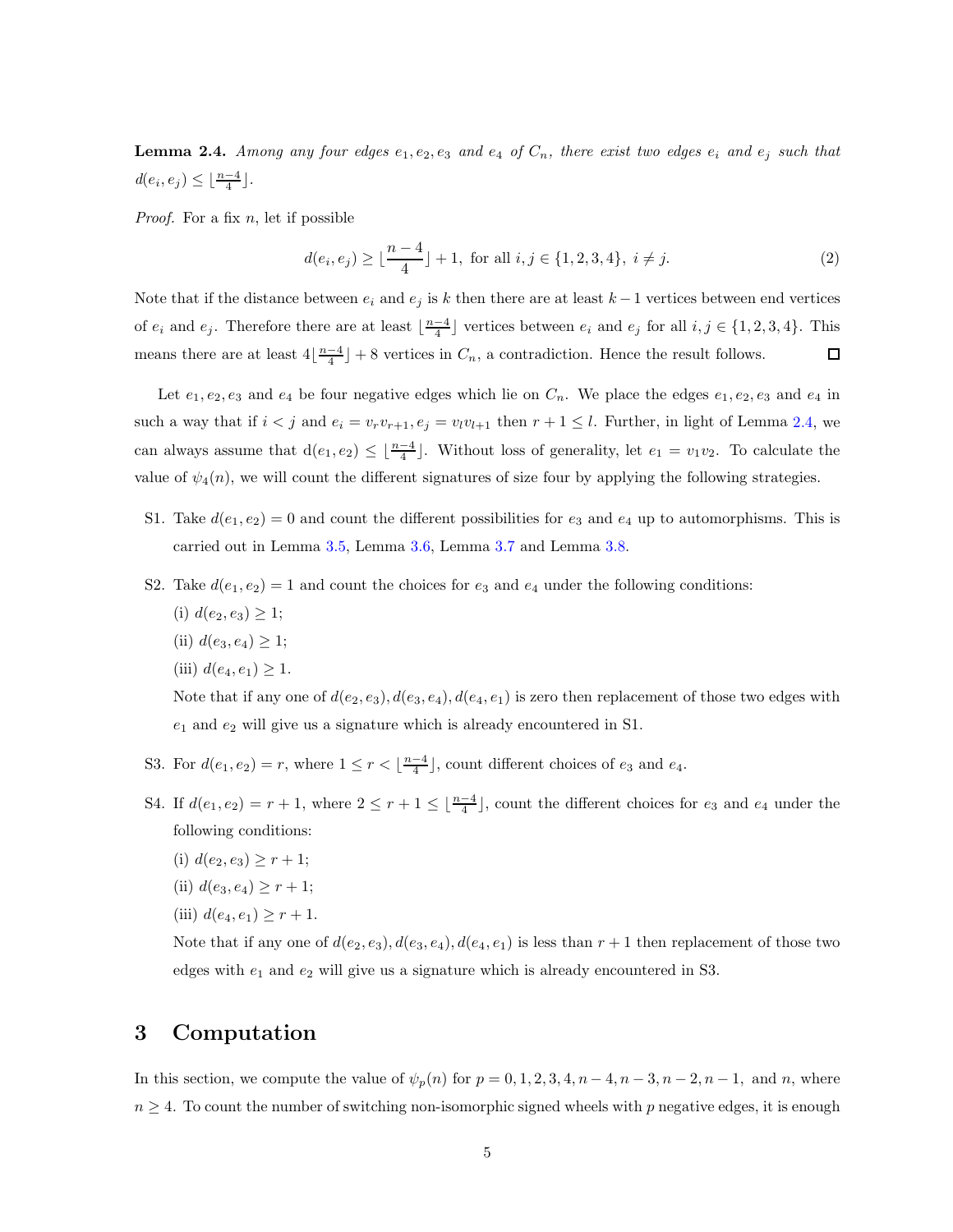**Lemma 2.4.** Among any four edges  $e_1, e_2, e_3$  and  $e_4$  of  $C_n$ , there exist two edges  $e_i$  and  $e_j$  such that  $d(e_i, e_j) \leq \lfloor \frac{n-4}{4} \rfloor$ .

*Proof.* For a fix  $n$ , let if possible

$$
d(e_i, e_j) \ge \lfloor \frac{n-4}{4} \rfloor + 1, \text{ for all } i, j \in \{1, 2, 3, 4\}, i \ne j.
$$
 (2)

Note that if the distance between  $e_i$  and  $e_j$  is k then there are at least k – 1 vertices between end vertices of  $e_i$  and  $e_j$ . Therefore there are at least  $\lfloor \frac{n-4}{4} \rfloor$  vertices between  $e_i$  and  $e_j$  for all  $i, j \in \{1, 2, 3, 4\}$ . This means there are at least  $4\left\lfloor \frac{n-4}{4} \right\rfloor + 8$  vertices in  $C_n$ , a contradiction. Hence the result follows. □

Let  $e_1, e_2, e_3$  and  $e_4$  be four negative edges which lie on  $C_n$ . We place the edges  $e_1, e_2, e_3$  and  $e_4$  in such a way that if  $i < j$  and  $e_i = v_r v_{r+1}, e_j = v_l v_{l+1}$  then  $r + 1 \leq l$ . Further, in light of Lemma [2.4,](#page-19-0) we can always assume that  $d(e_1, e_2) \leq \lfloor \frac{n-4}{4} \rfloor$ . Without loss of generality, let  $e_1 = v_1v_2$ . To calculate the value of  $\psi_4(n)$ , we will count the different signatures of size four by applying the following strategies.

- S1. Take  $d(e_1, e_2) = 0$  and count the different possibilities for  $e_3$  and  $e_4$  up to automorphisms. This is carried out in Lemma [3.5,](#page-21-0) Lemma [3.6,](#page-21-1) Lemma [3.7](#page-21-2) and Lemma [3.8.](#page-21-3)
- S2. Take  $d(e_1, e_2) = 1$  and count the choices for  $e_3$  and  $e_4$  under the following conditions:
	- (i)  $d(e_2, e_3) \geq 1$ ;
	- (ii)  $d(e_3, e_4) \geq 1$ ;

(iii) 
$$
d(e_4, e_1) \geq 1
$$
.

Note that if any one of  $d(e_2, e_3), d(e_3, e_4), d(e_4, e_1)$  is zero then replacement of those two edges with  $e_1$  and  $e_2$  will give us a signature which is already encountered in S1.

- S3. For  $d(e_1, e_2) = r$ , where  $1 \le r < \lfloor \frac{n-4}{4} \rfloor$ , count different choices of  $e_3$  and  $e_4$ .
- S4. If  $d(e_1, e_2) = r + 1$ , where  $2 \le r + 1 \le \lfloor \frac{n-4}{4} \rfloor$ , count the different choices for  $e_3$  and  $e_4$  under the following conditions:
	- (i)  $d(e_2, e_3) \geq r + 1$ ;
	- (ii)  $d(e_3, e_4) \geq r + 1$ ;
	- (iii)  $d(e_4, e_1) \geq r + 1$ .

Note that if any one of  $d(e_2, e_3)$ ,  $d(e_3, e_4)$ ,  $d(e_4, e_1)$  is less than  $r + 1$  then replacement of those two edges with  $e_1$  and  $e_2$  will give us a signature which is already encountered in S3.

### 3 Computation

In this section, we compute the value of  $\psi_p(n)$  for  $p = 0, 1, 2, 3, 4, n - 4, n - 3, n - 2, n - 1$ , and n, where  $n \geq 4$ . To count the number of switching non-isomorphic signed wheels with p negative edges, it is enough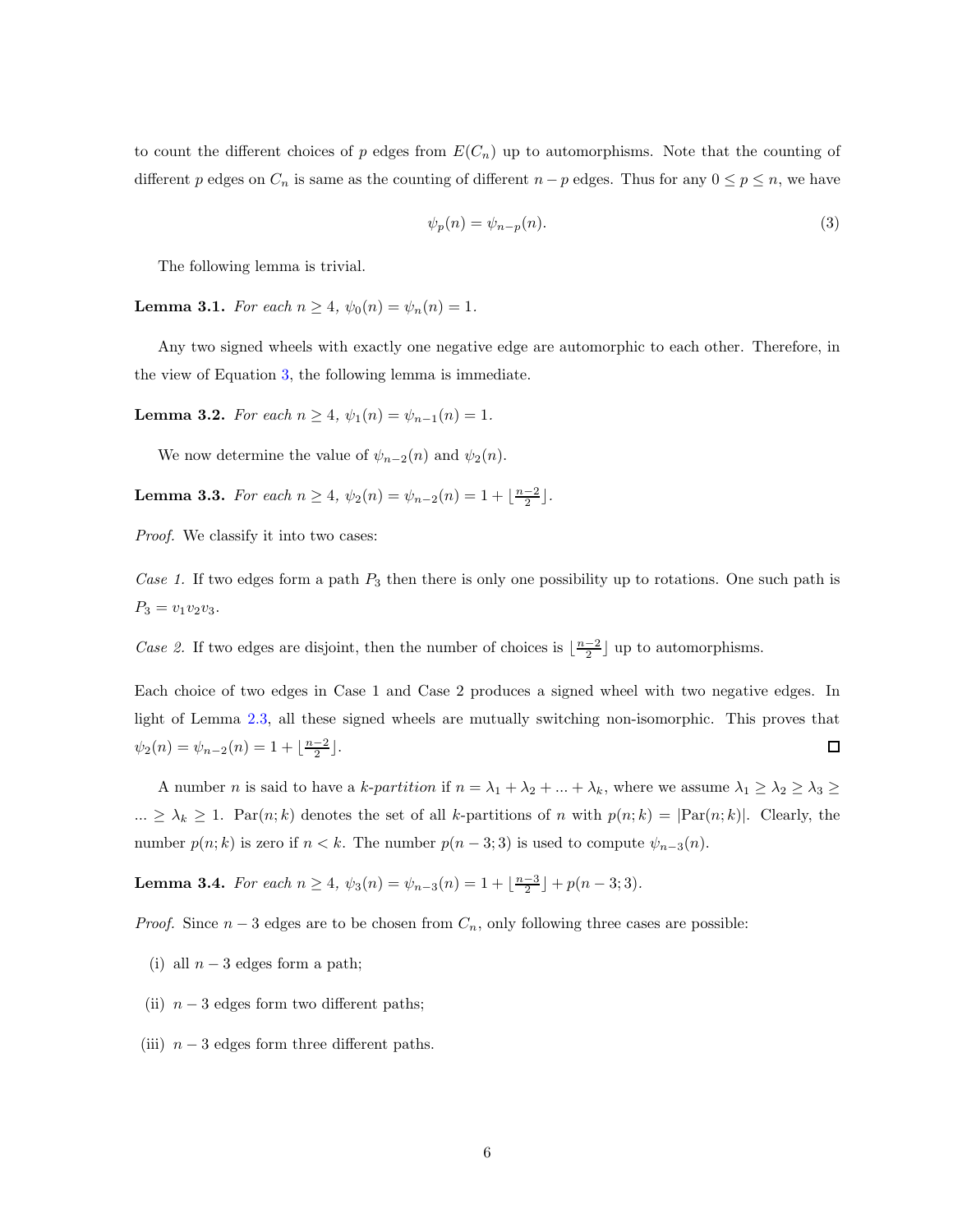to count the different choices of p edges from  $E(C_n)$  up to automorphisms. Note that the counting of different p edges on  $C_n$  is same as the counting of different  $n - p$  edges. Thus for any  $0 \le p \le n$ , we have

<span id="page-5-0"></span>
$$
\psi_p(n) = \psi_{n-p}(n). \tag{3}
$$

The following lemma is trivial.

**Lemma 3.1.** For each  $n \ge 4$ ,  $\psi_0(n) = \psi_n(n) = 1$ .

Any two signed wheels with exactly one negative edge are automorphic to each other. Therefore, in the view of Equation [3,](#page-5-0) the following lemma is immediate.

**Lemma 3.2.** For each  $n \geq 4$ ,  $\psi_1(n) = \psi_{n-1}(n) = 1$ .

We now determine the value of  $\psi_{n-2}(n)$  and  $\psi_2(n)$ .

**Lemma 3.3.** For each  $n \ge 4$ ,  $\psi_2(n) = \psi_{n-2}(n) = 1 + \lfloor \frac{n-2}{2} \rfloor$ .

Proof. We classify it into two cases:

Case 1. If two edges form a path  $P_3$  then there is only one possibility up to rotations. One such path is  $P_3 = v_1v_2v_3.$ 

Case 2. If two edges are disjoint, then the number of choices is  $\lfloor \frac{n-2}{2} \rfloor$  up to automorphisms.

Each choice of two edges in Case 1 and Case 2 produces a signed wheel with two negative edges. In light of Lemma [2.3,](#page-18-2) all these signed wheels are mutually switching non-isomorphic. This proves that  $\psi_2(n) = \psi_{n-2}(n) = 1 + \lfloor \frac{n-2}{2} \rfloor.$  $\Box$ 

A number *n* is said to have a *k-partition* if  $n = \lambda_1 + \lambda_2 + ... + \lambda_k$ , where we assume  $\lambda_1 \ge \lambda_2 \ge \lambda_3 \ge$  $\ldots \geq \lambda_k \geq 1$ . Par $(n; k)$  denotes the set of all k-partitions of n with  $p(n; k) = |Par(n; k)|$ . Clearly, the number  $p(n; k)$  is zero if  $n < k$ . The number  $p(n-3; 3)$  is used to compute  $\psi_{n-3}(n)$ .

**Lemma 3.4.** For each  $n \ge 4$ ,  $\psi_3(n) = \psi_{n-3}(n) = 1 + \lfloor \frac{n-3}{2} \rfloor + p(n-3; 3)$ .

*Proof.* Since  $n-3$  edges are to be chosen from  $C_n$ , only following three cases are possible:

- (i) all  $n-3$  edges form a path;
- (ii)  $n-3$  edges form two different paths;
- (iii)  $n-3$  edges form three different paths.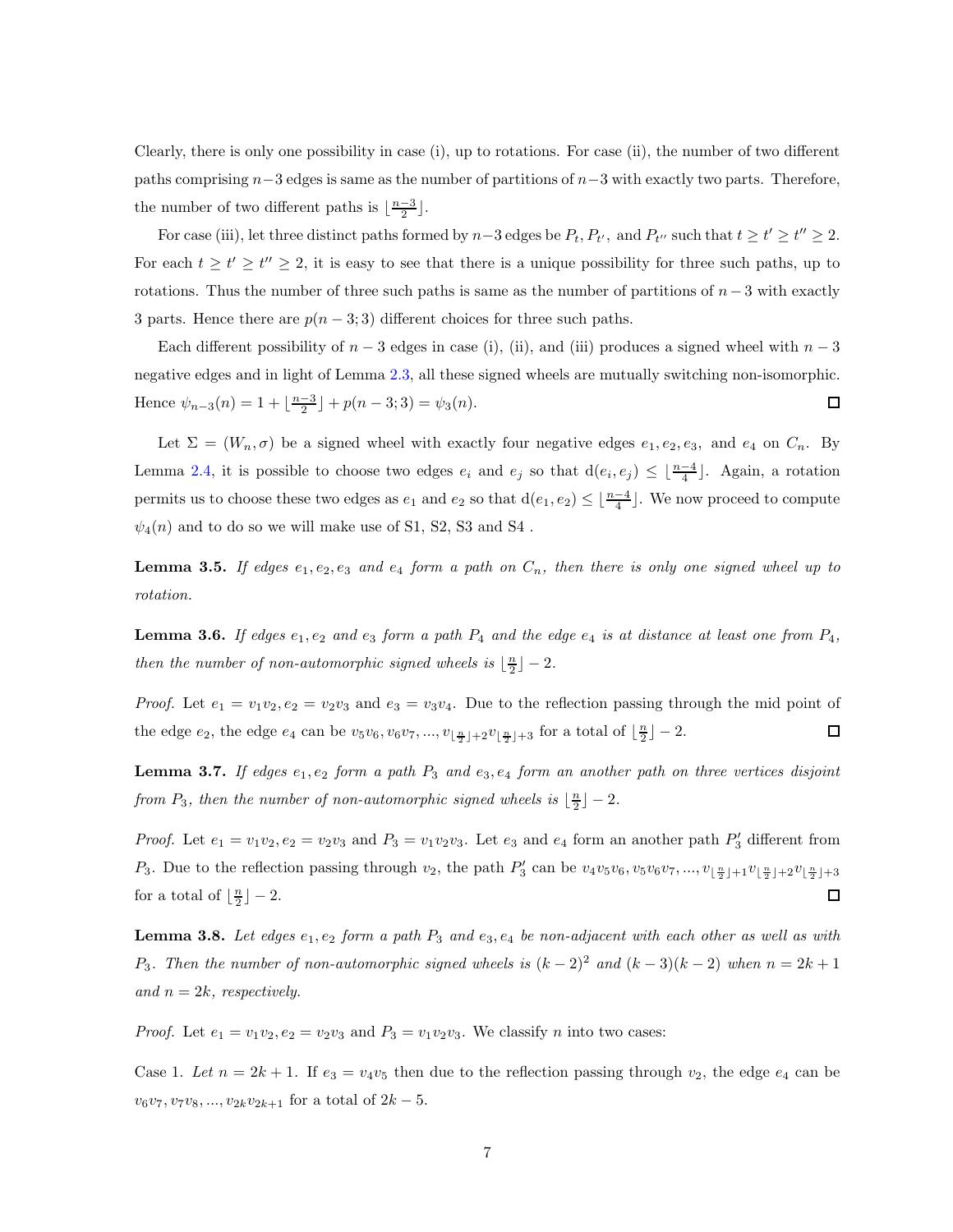Clearly, there is only one possibility in case (i), up to rotations. For case (ii), the number of two different paths comprising  $n-3$  edges is same as the number of partitions of  $n-3$  with exactly two parts. Therefore, the number of two different paths is  $\lfloor \frac{n-3}{2} \rfloor$ .

For case (iii), let three distinct paths formed by  $n-3$  edges be  $P_t$ ,  $P_{t'}$ , and  $P_{t''}$  such that  $t \ge t' \ge t'' \ge 2$ . For each  $t \ge t' \ge t'' \ge 2$ , it is easy to see that there is a unique possibility for three such paths, up to rotations. Thus the number of three such paths is same as the number of partitions of  $n-3$  with exactly 3 parts. Hence there are  $p(n-3,3)$  different choices for three such paths.

Each different possibility of  $n-3$  edges in case (i), (ii), and (iii) produces a signed wheel with  $n-3$ negative edges and in light of Lemma [2.3,](#page-18-2) all these signed wheels are mutually switching non-isomorphic. Hence  $\psi_{n-3}(n) = 1 + \lfloor \frac{n-3}{2} \rfloor + p(n-3; 3) = \psi_3(n)$ .  $\Box$ 

Let  $\Sigma = (W_n, \sigma)$  be a signed wheel with exactly four negative edges  $e_1, e_2, e_3$ , and  $e_4$  on  $C_n$ . By Lemma [2.4,](#page-19-0) it is possible to choose two edges  $e_i$  and  $e_j$  so that  $d(e_i, e_j) \leq \lfloor \frac{n-4}{4} \rfloor$ . Again, a rotation permits us to choose these two edges as  $e_1$  and  $e_2$  so that  $d(e_1, e_2) \leq \lfloor \frac{n-4}{4} \rfloor$ . We now proceed to compute  $\psi_4(n)$  and to do so we will make use of S1, S2, S3 and S4.

**Lemma 3.5.** If edges  $e_1, e_2, e_3$  and  $e_4$  form a path on  $C_n$ , then there is only one signed wheel up to rotation.

**Lemma 3.6.** If edges  $e_1, e_2$  and  $e_3$  form a path  $P_4$  and the edge  $e_4$  is at distance at least one from  $P_4$ , then the number of non-automorphic signed wheels is  $\lfloor \frac{n}{2} \rfloor - 2$ .

*Proof.* Let  $e_1 = v_1v_2, e_2 = v_2v_3$  and  $e_3 = v_3v_4$ . Due to the reflection passing through the mid point of the edge  $e_2$ , the edge  $e_4$  can be  $v_5v_6, v_6v_7, ..., v_{\lfloor \frac{n}{2} \rfloor+2}v_{\lfloor \frac{n}{2} \rfloor+3}$  for a total of  $\lfloor \frac{n}{2} \rfloor - 2$ .  $\Box$ 

**Lemma 3.7.** If edges  $e_1, e_2$  form a path  $P_3$  and  $e_3, e_4$  form an another path on three vertices disjoint from  $P_3$ , then the number of non-automorphic signed wheels is  $\lfloor \frac{n}{2} \rfloor - 2$ .

*Proof.* Let  $e_1 = v_1v_2, e_2 = v_2v_3$  and  $P_3 = v_1v_2v_3$ . Let  $e_3$  and  $e_4$  form an another path  $P'_3$  different from  $P_3$ . Due to the reflection passing through  $v_2$ , the path  $P'_3$  can be  $v_4v_5v_6, v_5v_6v_7, ..., v_{\lfloor \frac{n}{2} \rfloor + 1}v_{\lfloor \frac{n}{2} \rfloor + 2}v_{\lfloor \frac{n}{2} \rfloor + 3}$ for a total of  $\lfloor \frac{n}{2} \rfloor - 2$ .  $\Box$ 

**Lemma 3.8.** Let edges  $e_1, e_2$  form a path  $P_3$  and  $e_3, e_4$  be non-adjacent with each other as well as with P<sub>3</sub>. Then the number of non-automorphic signed wheels is  $(k-2)^2$  and  $(k-3)(k-2)$  when  $n = 2k + 1$ and  $n = 2k$ , respectively.

*Proof.* Let  $e_1 = v_1v_2$ ,  $e_2 = v_2v_3$  and  $P_3 = v_1v_2v_3$ . We classify *n* into two cases:

Case 1. Let  $n = 2k + 1$ . If  $e_3 = v_4v_5$  then due to the reflection passing through  $v_2$ , the edge  $e_4$  can be  $v_6v_7, v_7v_8, ..., v_{2k}v_{2k+1}$  for a total of  $2k-5$ .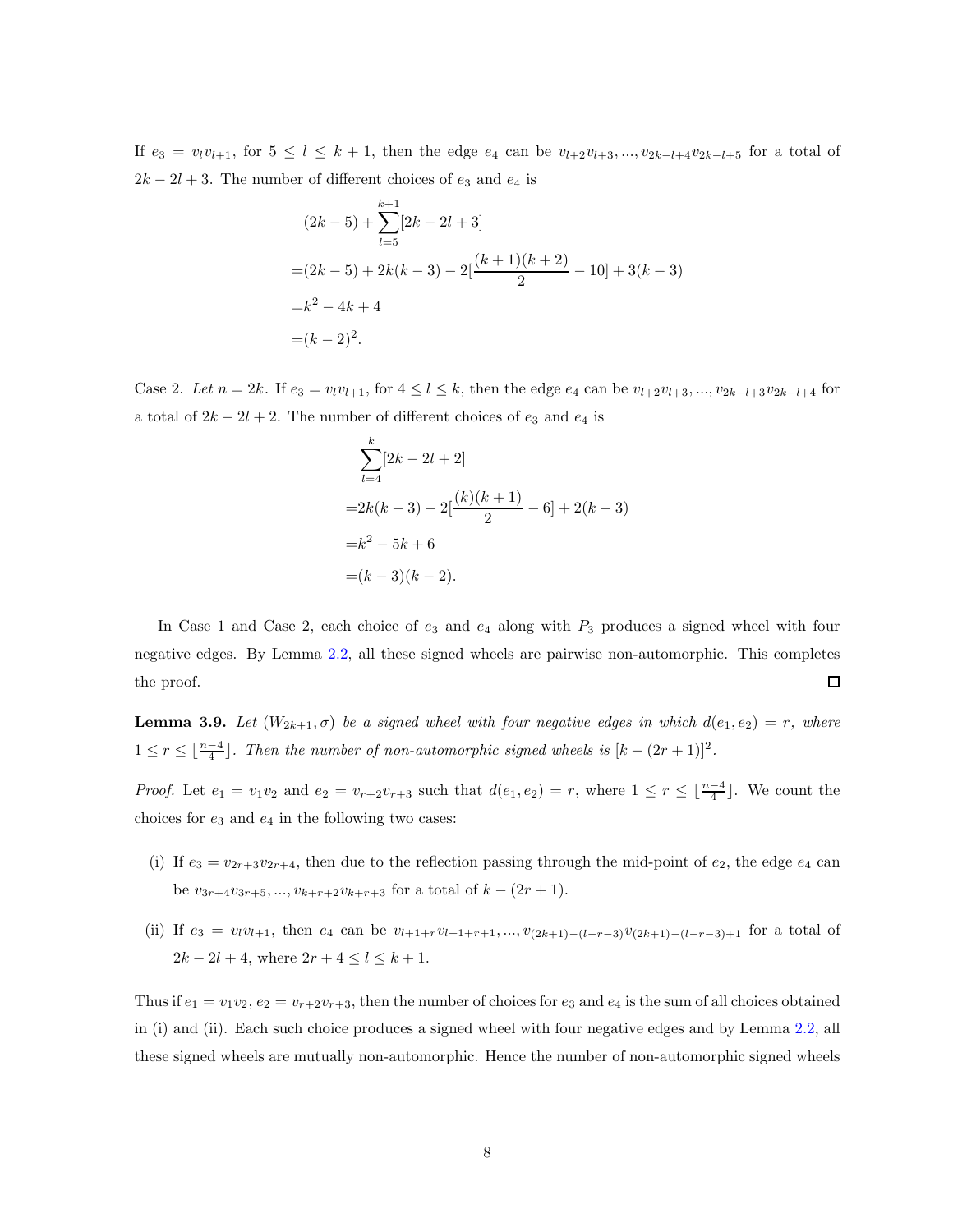If  $e_3 = v_l v_{l+1}$ , for  $5 \le l \le k+1$ , then the edge  $e_4$  can be  $v_{l+2}v_{l+3},...,v_{2k-l+4}v_{2k-l+5}$  for a total of  $2k - 2l + 3$ . The number of different choices of  $e_3$  and  $e_4$  is

$$
(2k-5) + \sum_{l=5}^{k+1} [2k - 2l + 3]
$$
  
=  $(2k-5) + 2k(k-3) - 2[\frac{(k+1)(k+2)}{2} - 10] + 3(k-3)$   
=  $k^2 - 4k + 4$   
=  $(k-2)^2$ .

Case 2. Let  $n = 2k$ . If  $e_3 = v_l v_{l+1}$ , for  $4 \leq l \leq k$ , then the edge  $e_4$  can be  $v_{l+2}v_{l+3},..., v_{2k-l+3}v_{2k-l+4}$  for a total of  $2k - 2l + 2$ . The number of different choices of  $e_3$  and  $e_4$  is

$$
\sum_{l=4}^{k} [2k - 2l + 2]
$$
  
=2k(k-3) - 2[ $\frac{(k)(k+1)}{2}$  - 6] + 2(k-3)  
=k<sup>2</sup> - 5k + 6  
=(k-3)(k-2).

In Case 1 and Case 2, each choice of  $e_3$  and  $e_4$  along with  $P_3$  produces a signed wheel with four negative edges. By Lemma [2.2,](#page-18-1) all these signed wheels are pairwise non-automorphic. This completes the proof.  $\Box$ 

**Lemma 3.9.** Let  $(W_{2k+1}, \sigma)$  be a signed wheel with four negative edges in which  $d(e_1, e_2) = r$ , where  $1 \leq r \leq \lfloor \frac{n-4}{4} \rfloor$ . Then the number of non-automorphic signed wheels is  $[k-(2r+1)]^2$ .

*Proof.* Let  $e_1 = v_1v_2$  and  $e_2 = v_{r+2}v_{r+3}$  such that  $d(e_1, e_2) = r$ , where  $1 \leq r \leq \lfloor \frac{n-4}{4} \rfloor$ . We count the choices for  $e_3$  and  $e_4$  in the following two cases:

- (i) If  $e_3 = v_{2r+3}v_{2r+4}$ , then due to the reflection passing through the mid-point of  $e_2$ , the edge  $e_4$  can be  $v_{3r+4}v_{3r+5},..., v_{k+r+2}v_{k+r+3}$  for a total of  $k - (2r + 1)$ .
- (ii) If  $e_3 = v_l v_{l+1}$ , then  $e_4$  can be  $v_{l+1+r}v_{l+1+r+1},...,v_{(2k+1)-(l-r-3)}v_{(2k+1)-(l-r-3)+1}$  for a total of  $2k - 2l + 4$ , where  $2r + 4 \leq l \leq k + 1$ .

Thus if  $e_1 = v_1v_2$ ,  $e_2 = v_{r+2}v_{r+3}$ , then the number of choices for  $e_3$  and  $e_4$  is the sum of all choices obtained in (i) and (ii). Each such choice produces a signed wheel with four negative edges and by Lemma [2.2,](#page-18-1) all these signed wheels are mutually non-automorphic. Hence the number of non-automorphic signed wheels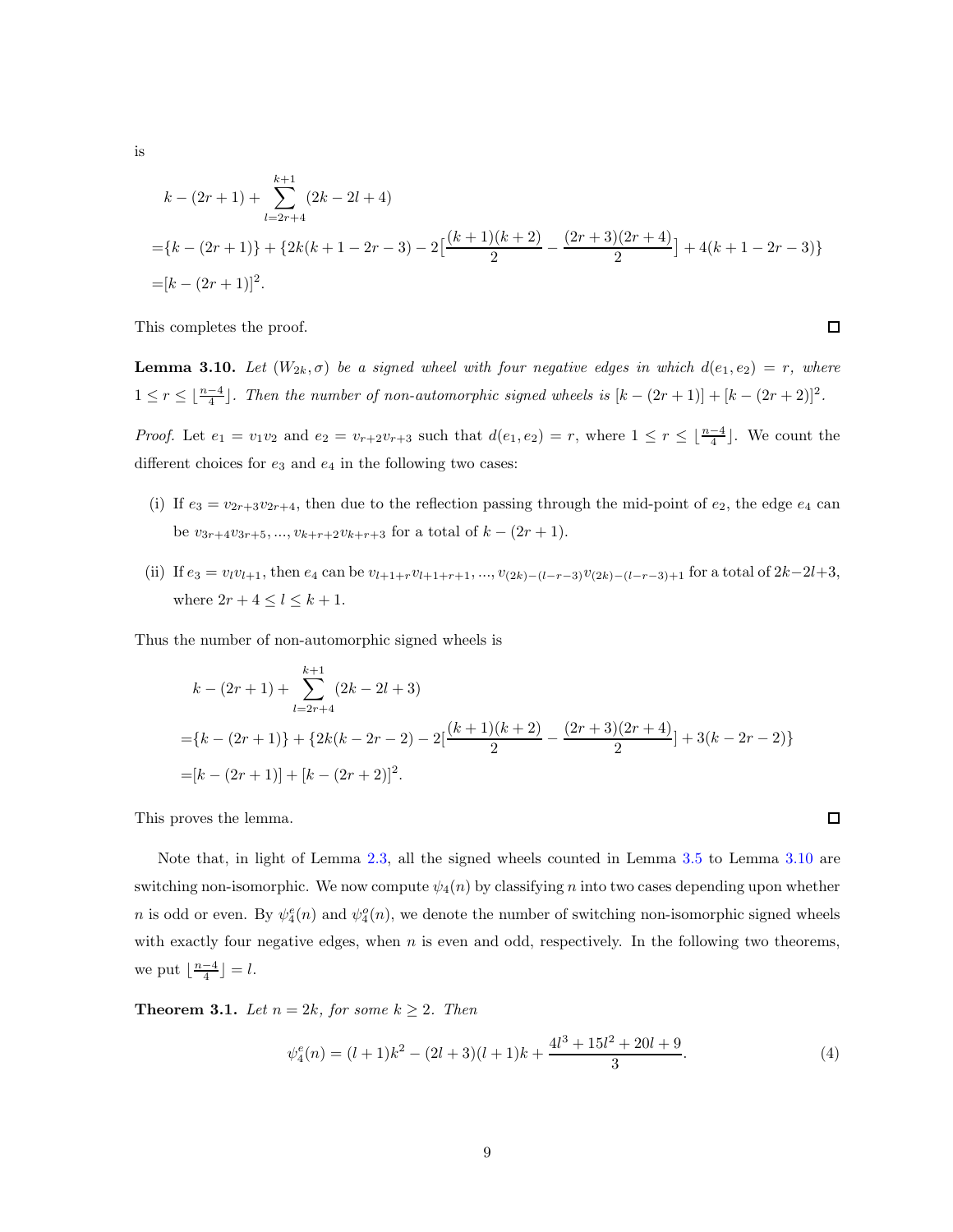$$
k - (2r + 1) + \sum_{l=2r+4}^{k+1} (2k - 2l + 4)
$$
  
= {k - (2r + 1)} + {2k(k + 1 - 2r - 3) - 2\left[\frac{(k+1)(k+2)}{2} - \frac{(2r+3)(2r+4)}{2}\right] + 4(k + 1 - 2r - 3)}  
= [k - (2r + 1)]<sup>2</sup>.

This completes the proof.

**Lemma 3.10.** Let  $(W_{2k}, \sigma)$  be a signed wheel with four negative edges in which  $d(e_1, e_2) = r$ , where  $1 \leq r \leq \lfloor \frac{n-4}{4} \rfloor$ . Then the number of non-automorphic signed wheels is  $[k-(2r+1)] + [k-(2r+2)]^2$ .

*Proof.* Let  $e_1 = v_1v_2$  and  $e_2 = v_{r+2}v_{r+3}$  such that  $d(e_1, e_2) = r$ , where  $1 \leq r \leq \lfloor \frac{n-4}{4} \rfloor$ . We count the different choices for  $e_3$  and  $e_4$  in the following two cases:

- (i) If  $e_3 = v_{2r+3}v_{2r+4}$ , then due to the reflection passing through the mid-point of  $e_2$ , the edge  $e_4$  can be  $v_{3r+4}v_{3r+5},...,v_{k+r+2}v_{k+r+3}$  for a total of  $k-(2r+1)$ .
- (ii) If  $e_3 = v_l v_{l+1}$ , then  $e_4$  can be  $v_{l+1+r}v_{l+1+r+1},..., v_{(2k)-(l-r-3)}v_{(2k)-(l-r-3)+1}$  for a total of  $2k-2l+3$ , where  $2r + 4 \leq l \leq k + 1$ .

Thus the number of non-automorphic signed wheels is

$$
k - (2r + 1) + \sum_{l=2r+4}^{k+1} (2k - 2l + 3)
$$
  
= {k - (2r + 1)} + {2k(k - 2r - 2) - 2[ $\frac{(k+1)(k+2)}{2}$  -  $\frac{(2r+3)(2r+4)}{2}$ ] + 3(k - 2r - 2)}  
= [k - (2r + 1)] + [k - (2r + 2)]<sup>2</sup>.

This proves the lemma.

Note that, in light of Lemma [2.3,](#page-18-2) all the signed wheels counted in Lemma [3.5](#page-21-0) to Lemma [3.10](#page-23-0) are switching non-isomorphic. We now compute  $\psi_4(n)$  by classifying n into two cases depending upon whether *n* is odd or even. By  $\psi_4^e(n)$  and  $\psi_4^o(n)$ , we denote the number of switching non-isomorphic signed wheels with exactly four negative edges, when  $n$  is even and odd, respectively. In the following two theorems, we put  $\lfloor \frac{n-4}{4} \rfloor = l$ .

**Theorem 3.1.** Let  $n = 2k$ , for some  $k \geq 2$ . Then

$$
\psi_4^e(n) = (l+1)k^2 - (2l+3)(l+1)k + \frac{4l^3 + 15l^2 + 20l + 9}{3}.
$$
\n(4)

is

 $\Box$ 

 $\Box$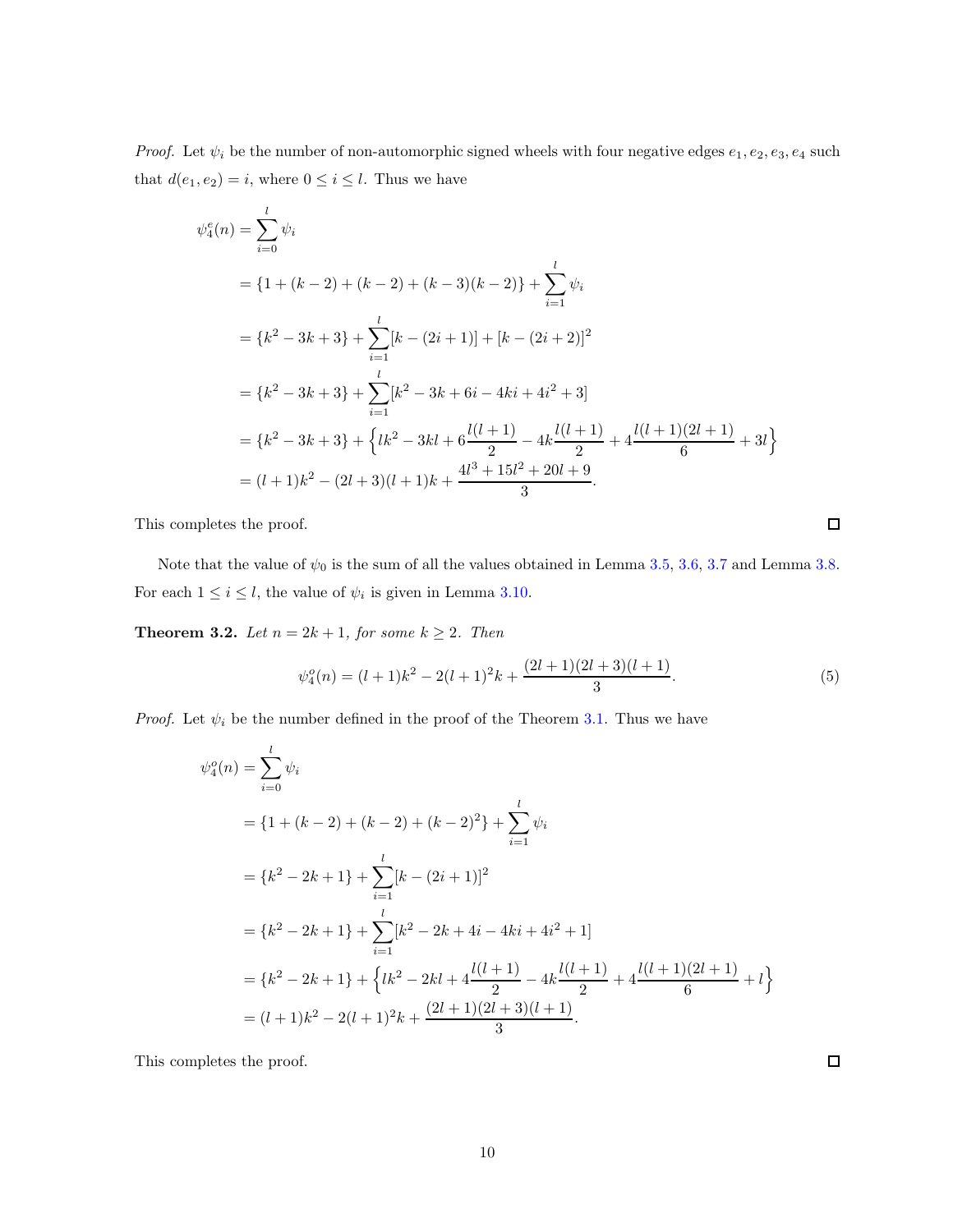*Proof.* Let  $\psi_i$  be the number of non-automorphic signed wheels with four negative edges  $e_1, e_2, e_3, e_4$  such that  $d(e_1, e_2) = i$ , where  $0 \le i \le l$ . Thus we have

$$
\psi_4^e(n) = \sum_{i=0}^l \psi_i
$$
  
=  $\{1 + (k - 2) + (k - 2) + (k - 3)(k - 2)\} + \sum_{i=1}^l \psi_i$   
=  $\{k^2 - 3k + 3\} + \sum_{i=1}^l [k - (2i + 1)] + [k - (2i + 2)]^2$   
=  $\{k^2 - 3k + 3\} + \sum_{i=1}^l [k^2 - 3k + 6i - 4ki + 4i^2 + 3]$   
=  $\{k^2 - 3k + 3\} + \{lk^2 - 3kl + 6\frac{l(l+1)}{2} - 4k\frac{l(l+1)}{2} + 4\frac{l(l+1)(2l+1)}{6} + 3l\}$   
=  $(l+1)k^2 - (2l+3)(l+1)k + \frac{4l^3 + 15l^2 + 20l + 9}{3}.$ 

This completes the proof.

Note that the value of  $\psi_0$  is the sum of all the values obtained in Lemma [3.5,](#page-21-0) [3.6,](#page-21-1) [3.7](#page-21-2) and Lemma [3.8.](#page-21-3) For each  $1 \leq i \leq l$ , the value of  $\psi_i$  is given in Lemma [3.10.](#page-23-0)

**Theorem 3.2.** Let  $n = 2k + 1$ , for some  $k \ge 2$ . Then

$$
\psi_4^o(n) = (l+1)k^2 - 2(l+1)^2k + \frac{(2l+1)(2l+3)(l+1)}{3}.
$$
\n(5)

*Proof.* Let  $\psi_i$  be the number defined in the proof of the Theorem [3.1.](#page-23-1) Thus we have

$$
\psi_4^o(n) = \sum_{i=0}^l \psi_i
$$
  
=  $\{1 + (k - 2) + (k - 2) + (k - 2)^2\} + \sum_{i=1}^l \psi_i$   
=  $\{k^2 - 2k + 1\} + \sum_{i=1}^l [k - (2i + 1)]^2$   
=  $\{k^2 - 2k + 1\} + \sum_{i=1}^l [k^2 - 2k + 4i - 4ki + 4i^2 + 1]$   
=  $\{k^2 - 2k + 1\} + \{lk^2 - 2kl + 4\frac{l(l+1)}{2} - 4k\frac{l(l+1)}{2} + 4\frac{l(l+1)(2l+1)}{6} + l\}$   
=  $(l+1)k^2 - 2(l+1)^2k + \frac{(2l+1)(2l+3)(l+1)}{3}.$ 

This completes the proof.

 $\Box$ 

 $\Box$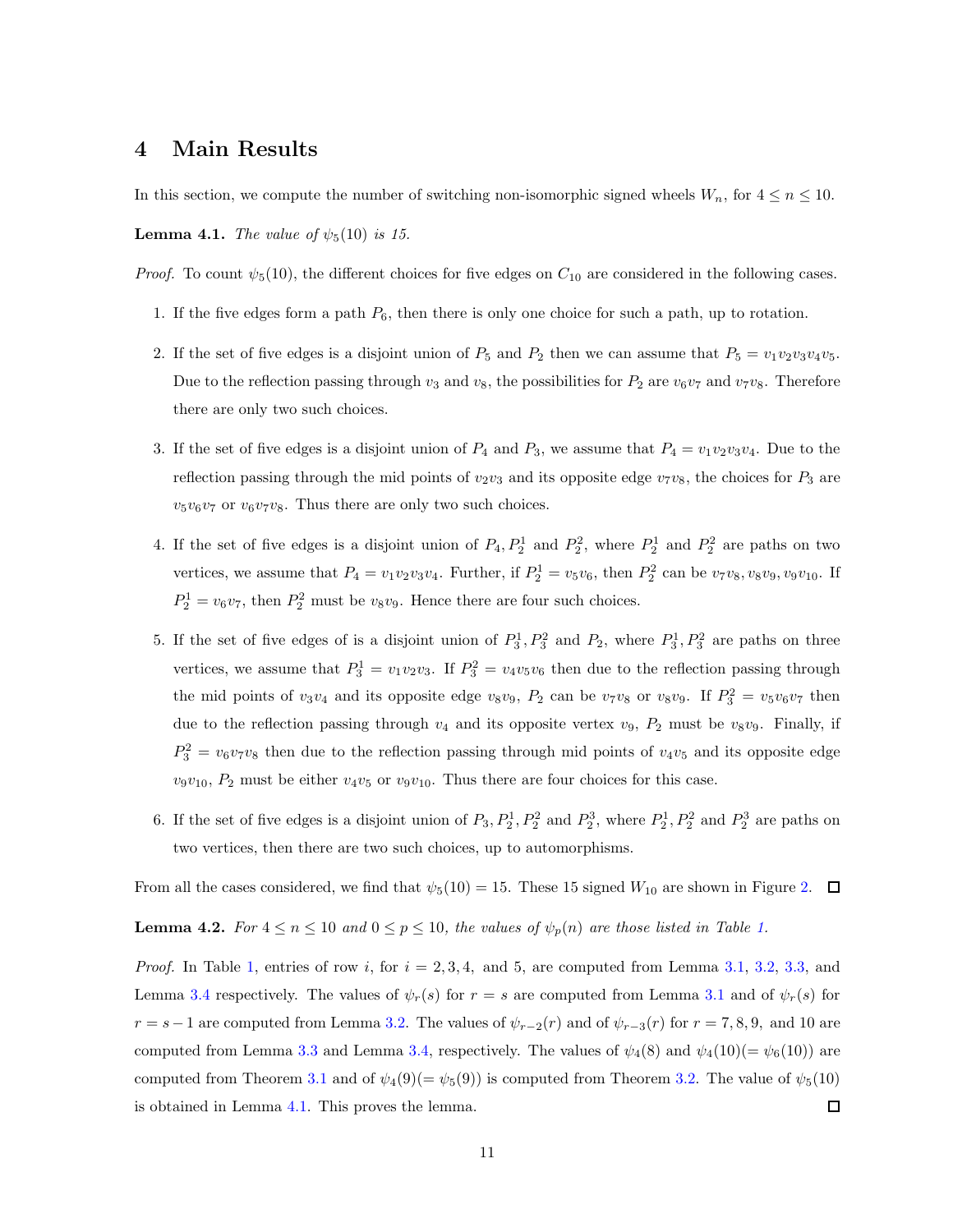### 4 Main Results

In this section, we compute the number of switching non-isomorphic signed wheels  $W_n$ , for  $4 \le n \le 10$ .

**Lemma 4.1.** The value of  $\psi_5(10)$  is 15.

*Proof.* To count  $\psi_5(10)$ , the different choices for five edges on  $C_{10}$  are considered in the following cases.

- 1. If the five edges form a path  $P_6$ , then there is only one choice for such a path, up to rotation.
- 2. If the set of five edges is a disjoint union of  $P_5$  and  $P_2$  then we can assume that  $P_5 = v_1v_2v_3v_4v_5$ . Due to the reflection passing through  $v_3$  and  $v_8$ , the possibilities for  $P_2$  are  $v_6v_7$  and  $v_7v_8$ . Therefore there are only two such choices.
- 3. If the set of five edges is a disjoint union of  $P_4$  and  $P_3$ , we assume that  $P_4 = v_1v_2v_3v_4$ . Due to the reflection passing through the mid points of  $v_2v_3$  and its opposite edge  $v_7v_8$ , the choices for  $P_3$  are  $v_5v_6v_7$  or  $v_6v_7v_8$ . Thus there are only two such choices.
- 4. If the set of five edges is a disjoint union of  $P_4, P_2^1$  and  $P_2^2$ , where  $P_2^1$  and  $P_2^2$  are paths on two vertices, we assume that  $P_4 = v_1v_2v_3v_4$ . Further, if  $P_2^1 = v_5v_6$ , then  $P_2^2$  can be  $v_7v_8, v_8v_9, v_9v_{10}$ . If  $P_2^1 = v_6 v_7$ , then  $P_2^2$  must be  $v_8 v_9$ . Hence there are four such choices.
- 5. If the set of five edges of is a disjoint union of  $P_3^1, P_3^2$  and  $P_2$ , where  $P_3^1, P_3^2$  are paths on three vertices, we assume that  $P_3^1 = v_1v_2v_3$ . If  $P_3^2 = v_4v_5v_6$  then due to the reflection passing through the mid points of  $v_3v_4$  and its opposite edge  $v_8v_9$ ,  $P_2$  can be  $v_7v_8$  or  $v_8v_9$ . If  $P_3^2 = v_5v_6v_7$  then due to the reflection passing through  $v_4$  and its opposite vertex  $v_9$ ,  $P_2$  must be  $v_8v_9$ . Finally, if  $P_3^2 = v_6v_7v_8$  then due to the reflection passing through mid points of  $v_4v_5$  and its opposite edge  $v_9v_{10}$ ,  $P_2$  must be either  $v_4v_5$  or  $v_9v_{10}$ . Thus there are four choices for this case.
- 6. If the set of five edges is a disjoint union of  $P_3, P_2^1, P_2^2$  and  $P_2^3$ , where  $P_2^1, P_2^2$  and  $P_2^3$  are paths on two vertices, then there are two such choices, up to automorphisms.

From all the cases considered, we find that  $\psi_5(10) = 15$ . These 15 signed  $W_{10}$  are shown in Figure [2.](#page-27-1)  $\Box$ 

**Lemma 4.2.** For  $4 \le n \le 10$  and  $0 \le p \le 10$ , the values of  $\psi_p(n)$  are those listed in Table [1.](#page-26-0)

*Proof.* In Table [1,](#page-26-0) entries of row i, for  $i = 2, 3, 4$ , and 5, are computed from Lemma [3.1,](#page-20-1) [3.2,](#page-20-2) [3.3,](#page-20-3) and Lemma [3.4](#page-20-4) respectively. The values of  $\psi_r(s)$  for  $r = s$  are computed from Lemma [3.1](#page-20-1) and of  $\psi_r(s)$  for  $r = s-1$  are computed from Lemma [3.2.](#page-20-2) The values of  $\psi_{r-2}(r)$  and of  $\psi_{r-3}(r)$  for  $r = 7, 8, 9$ , and 10 are computed from Lemma [3.3](#page-20-3) and Lemma [3.4,](#page-20-4) respectively. The values of  $\psi_4(8)$  and  $\psi_4(10)(=\psi_6(10))$  are computed from Theorem [3.1](#page-23-1) and of  $\psi_4(9) = \psi_5(9)$  is computed from Theorem [3.2.](#page-24-1) The value of  $\psi_5(10)$ is obtained in Lemma [4.1.](#page-25-0) This proves the lemma.  $\Box$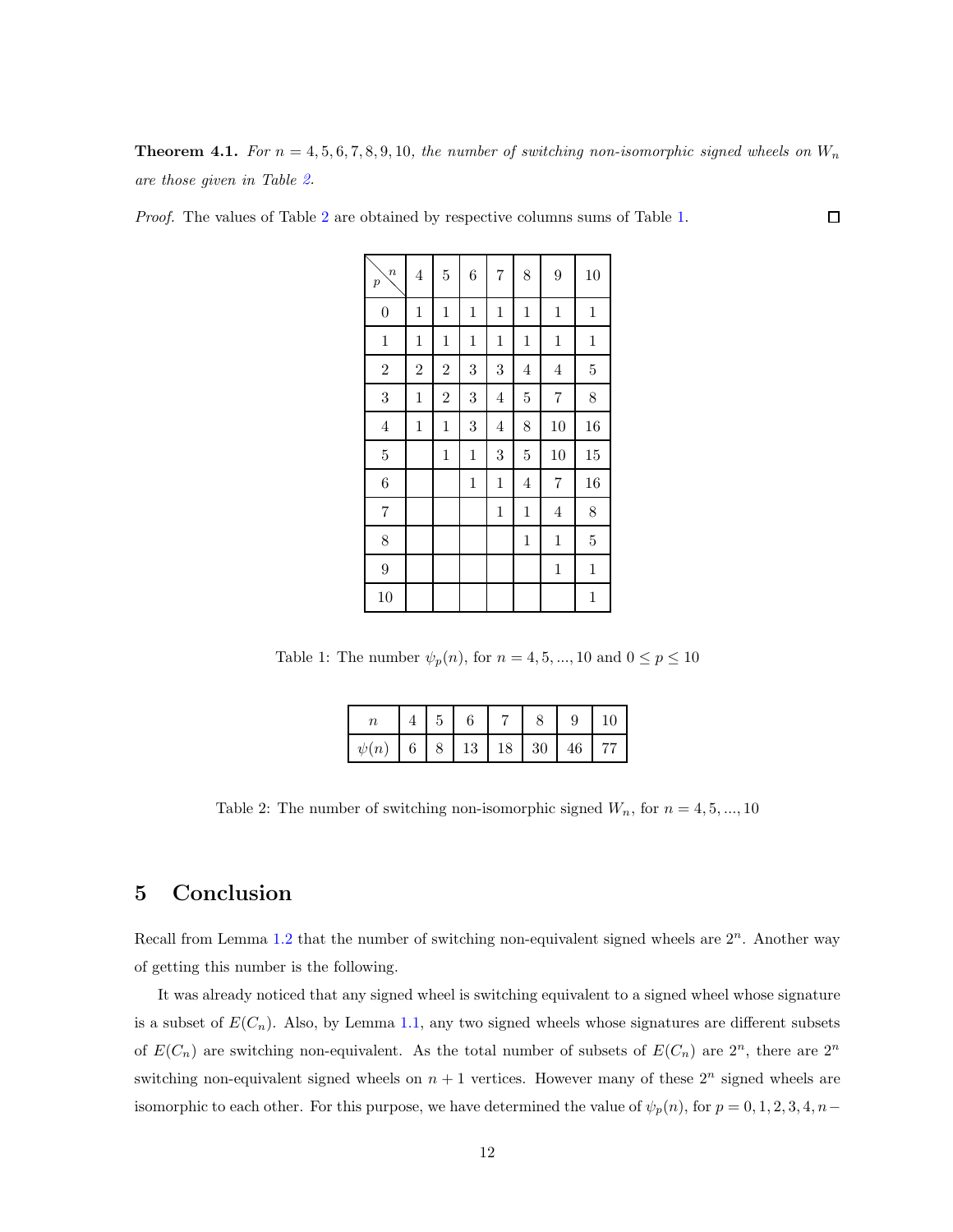**Theorem 4.1.** For  $n = 4, 5, 6, 7, 8, 9, 10$ , the number of switching non-isomorphic signed wheels on  $W_n$ are those given in Table [2.](#page-26-1)

 $\Box$ 

Proof. The values of Table [2](#page-26-1) are obtained by respective columns sums of Table [1.](#page-26-0)

| $\boldsymbol{n}$<br>$\boldsymbol{p}$ | $\sqrt{4}$     | $\overline{5}$ | 6           | $\overline{7}$ | 8              | 9              | 10             |
|--------------------------------------|----------------|----------------|-------------|----------------|----------------|----------------|----------------|
| $\boldsymbol{0}$                     | $\mathbf{1}$   | $\mathbf 1$    | $\,1$       | $\mathbf{1}$   | $\,1$          | $\,1$          | $\mathbf 1$    |
| $\,1$                                | $\mathbf{1}$   | $\mathbf 1$    | $\,1$       | $\mathbf{1}$   | $\,1$          | $\mathbf{1}$   | $\mathbf 1$    |
| $\overline{2}$                       | $\overline{2}$ | $\overline{2}$ | 3           | 3              | $\overline{4}$ | $\,4\,$        | $\overline{5}$ |
| 3                                    | $\mathbf{1}$   | $\overline{2}$ | 3           | $\overline{4}$ | $\overline{5}$ | $\overline{7}$ | 8              |
| $\,4\,$                              | $\mathbf 1$    | $\mathbf 1$    | 3           | $\overline{4}$ | 8              | 10             | 16             |
| $\overline{5}$                       |                | $\mathbf 1$    | $\,1$       | 3              | $\overline{5}$ | 10             | 15             |
| 6                                    |                |                | $\mathbf 1$ | $\mathbf{1}$   | 4              | $\overline{7}$ | 16             |
| $\overline{7}$                       |                |                |             | $\mathbf{1}$   | $\,1$          | $\,4\,$        | 8              |
| 8                                    |                |                |             |                | $\,1$          | $\mathbf{1}$   | $\overline{5}$ |
| $\overline{9}$                       |                |                |             |                |                | $\mathbf{1}$   | $\mathbf 1$    |
| 10                                   |                |                |             |                |                |                | $\mathbf{1}$   |

Table 1: The number  $\psi_p(n)$ , for  $n = 4, 5, ..., 10$  and  $0 \le p \le 10$ 

|                              | $\vert 5 \vert$ |  |  | $\vert$ 10 |
|------------------------------|-----------------|--|--|------------|
| $\psi(n)$ 6 8 13 18 30 46 77 |                 |  |  |            |

Table 2: The number of switching non-isomorphic signed  $W_n$ , for  $n = 4, 5, ..., 10$ 

# 5 Conclusion

Recall from Lemma [1.2](#page-15-1) that the number of switching non-equivalent signed wheels are  $2^n$ . Another way of getting this number is the following.

It was already noticed that any signed wheel is switching equivalent to a signed wheel whose signature is a subset of  $E(C_n)$ . Also, by Lemma [1.1,](#page-15-0) any two signed wheels whose signatures are different subsets of  $E(C_n)$  are switching non-equivalent. As the total number of subsets of  $E(C_n)$  are  $2^n$ , there are  $2^n$ switching non-equivalent signed wheels on  $n + 1$  vertices. However many of these  $2^n$  signed wheels are isomorphic to each other. For this purpose, we have determined the value of  $\psi_p(n)$ , for  $p = 0, 1, 2, 3, 4, n-$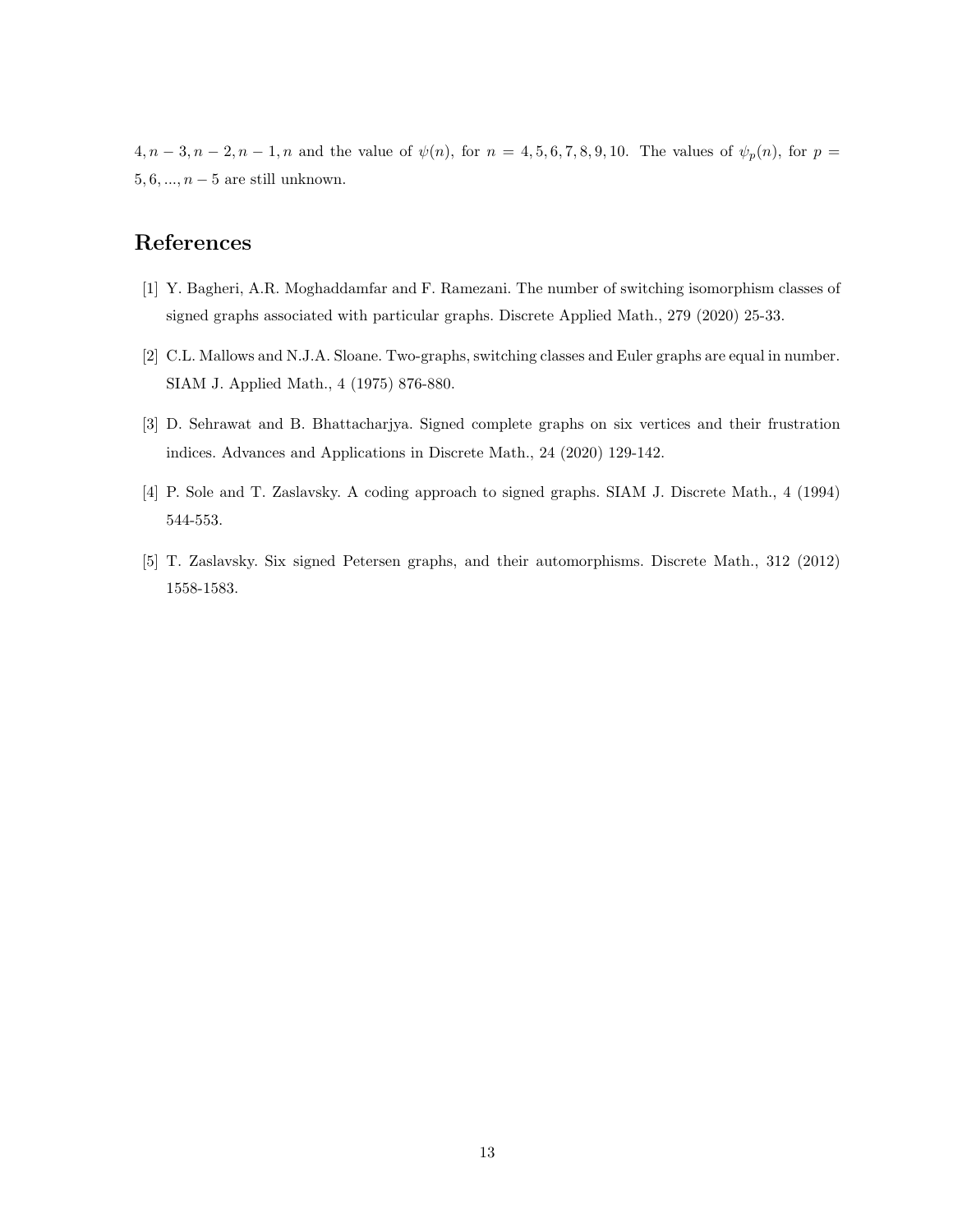$4, n-3, n-2, n-1, n$  and the value of  $\psi(n)$ , for  $n = 4, 5, 6, 7, 8, 9, 10$ . The values of  $\psi_p(n)$ , for  $p =$  $5, 6, \ldots, n-5$  are still unknown.

# References

- [1] Y. Bagheri, A.R. Moghaddamfar and F. Ramezani. The number of switching isomorphism classes of signed graphs associated with particular graphs. Discrete Applied Math., 279 (2020) 25-33.
- [2] C.L. Mallows and N.J.A. Sloane. Two-graphs, switching classes and Euler graphs are equal in number. SIAM J. Applied Math., 4 (1975) 876-880.
- [3] D. Sehrawat and B. Bhattacharjya. Signed complete graphs on six vertices and their frustration indices. Advances and Applications in Discrete Math., 24 (2020) 129-142.
- [4] P. Sole and T. Zaslavsky. A coding approach to signed graphs. SIAM J. Discrete Math., 4 (1994) 544-553.
- [5] T. Zaslavsky. Six signed Petersen graphs, and their automorphisms. Discrete Math., 312 (2012) 1558-1583.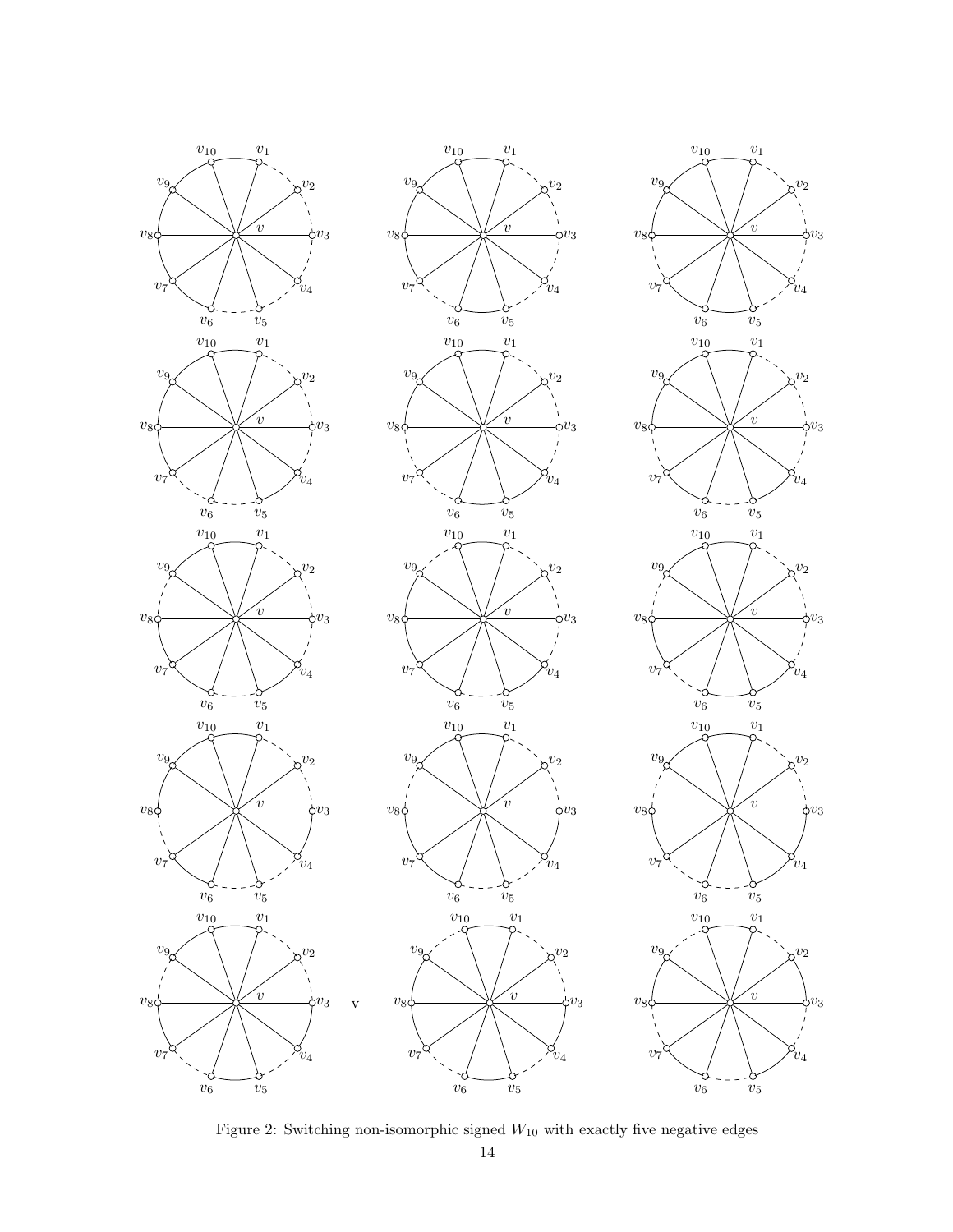

Figure 2: Switching non-isomorphic signed  $W_{10}$  with exactly five negative edges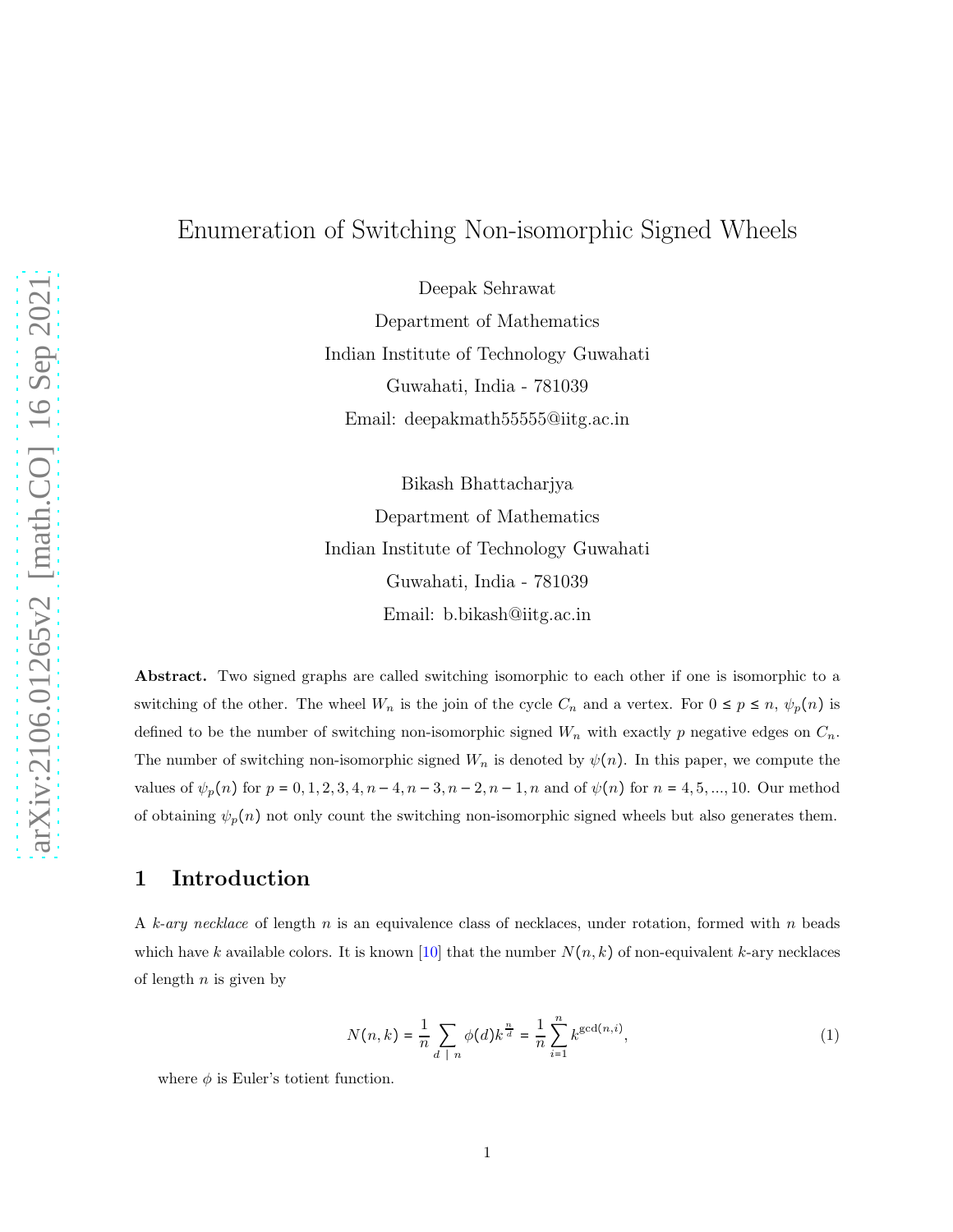# Enumeration of Switching Non-isomorphic Signed Wheels

Deepak Sehrawat Department of Mathematics Indian Institute of Technology Guwahati Guwahati, India - 781039 Email: deepakmath55555@iitg.ac.in

Bikash Bhattacharjya Department of Mathematics Indian Institute of Technology Guwahati Guwahati, India - 781039 Email: b.bikash@iitg.ac.in

Abstract. Two signed graphs are called switching isomorphic to each other if one is isomorphic to a switching of the other. The wheel  $W_n$  is the join of the cycle  $C_n$  and a vertex. For  $0 \le p \le n$ ,  $\psi_p(n)$  is defined to be the number of switching non-isomorphic signed  $W_n$  with exactly p negative edges on  $C_n$ . The number of switching non-isomorphic signed  $W_n$  is denoted by  $\psi(n)$ . In this paper, we compute the values of  $\psi_p(n)$  for  $p = 0, 1, 2, 3, 4, n - 4, n - 3, n - 2, n - 1, n$  and of  $\psi(n)$  for  $n = 4, 5, ..., 10$ . Our method of obtaining  $\psi_p(n)$  not only count the switching non-isomorphic signed wheels but also generates them.

### 1 Introduction

A k-ary necklace of length n is an equivalence class of necklaces, under rotation, formed with n beads which have k available colors. It is known [\[10\]](#page-28-3) that the number  $N(n, k)$  of non-equivalent k-ary necklaces of length  $n$  is given by

$$
N(n,k) = \frac{1}{n} \sum_{d \mid n} \phi(d) k^{\frac{n}{d}} = \frac{1}{n} \sum_{i=1}^{n} k^{\gcd(n,i)},
$$
 (1)

where  $\phi$  is Euler's totient function.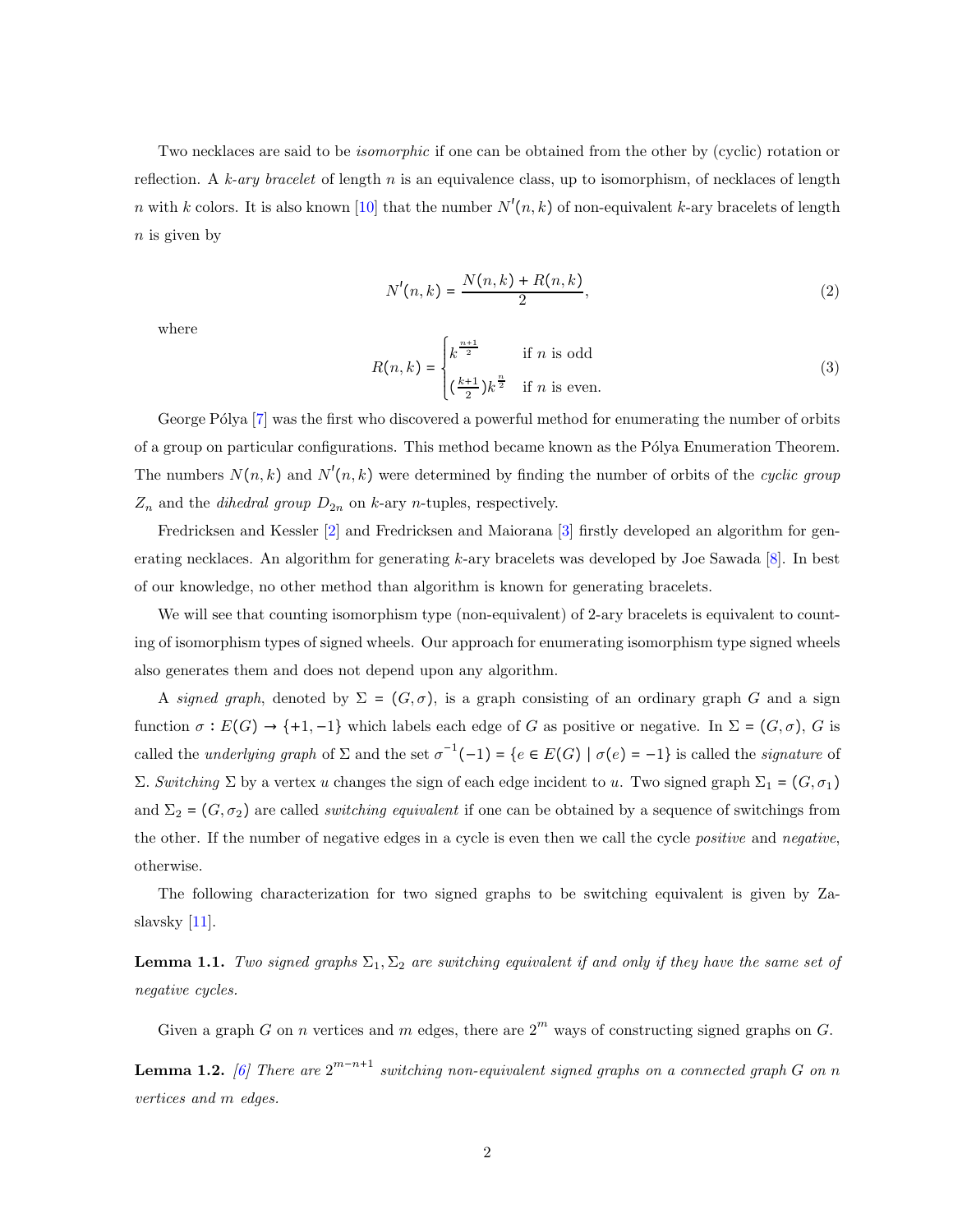Two necklaces are said to be *isomorphic* if one can be obtained from the other by (cyclic) rotation or reflection. A k-ary bracelet of length n is an equivalence class, up to isomorphism, of necklaces of length n with k colors. It is also known [\[10\]](#page-28-3) that the number  $N'(n, k)$  of non-equivalent k-ary bracelets of length  $n$  is given by

$$
N'(n,k) = \frac{N(n,k) + R(n,k)}{2},
$$
\n(2)

where

$$
R(n,k) = \begin{cases} k^{\frac{n+1}{2}} & \text{if } n \text{ is odd} \\ (\frac{k+1}{2})k^{\frac{n}{2}} & \text{if } n \text{ is even.} \end{cases}
$$
(3)

George Pólya [\[7\]](#page-28-4) was the first who discovered a powerful method for enumerating the number of orbits of a group on particular configurations. This method became known as the Pólya Enumeration Theorem. The numbers  $N(n,k)$  and  $N'(n,k)$  were determined by finding the number of orbits of the *cyclic group*  $Z_n$  and the *dihedral group*  $D_{2n}$  on k-ary *n*-tuples, respectively.

Fredricksen and Kessler [\[2\]](#page-27-2) and Fredricksen and Maiorana [\[3\]](#page-27-3) firstly developed an algorithm for generating necklaces. An algorithm for generating  $k$ -ary bracelets was developed by Joe Sawada  $[8]$ . In best of our knowledge, no other method than algorithm is known for generating bracelets.

We will see that counting isomorphism type (non-equivalent) of 2-ary bracelets is equivalent to counting of isomorphism types of signed wheels. Our approach for enumerating isomorphism type signed wheels also generates them and does not depend upon any algorithm.

A signed graph, denoted by  $\Sigma = (G, \sigma)$ , is a graph consisting of an ordinary graph G and a sign function  $\sigma : E(G) \to \{+1, -1\}$  which labels each edge of G as positive or negative. In  $\Sigma = (G, \sigma)$ , G is called the *underlying graph* of  $\Sigma$  and the set  $\sigma^{-1}(-1) = \{e \in E(G) \mid \sigma(e) = -1\}$  is called the *signature* of Σ. Switching Σ by a vertex u changes the sign of each edge incident to u. Two signed graph  $\Sigma_1 = (G, \sigma_1)$ and  $\Sigma_2 = (G, \sigma_2)$  are called *switching equivalent* if one can be obtained by a sequence of switchings from the other. If the number of negative edges in a cycle is even then we call the cycle positive and negative, otherwise.

The following characterization for two signed graphs to be switching equivalent is given by Zaslavsky [\[11\]](#page-28-0).

<span id="page-15-0"></span>**Lemma 1.1.** Two signed graphs  $\Sigma_1, \Sigma_2$  are switching equivalent if and only if they have the same set of negative cycles.

Given a graph G on n vertices and m edges, there are  $2^m$  ways of constructing signed graphs on G.

<span id="page-15-1"></span>**Lemma 1.2.** [\[6\]](#page-28-6) There are  $2^{m-n+1}$  switching non-equivalent signed graphs on a connected graph G on n vertices and m edges.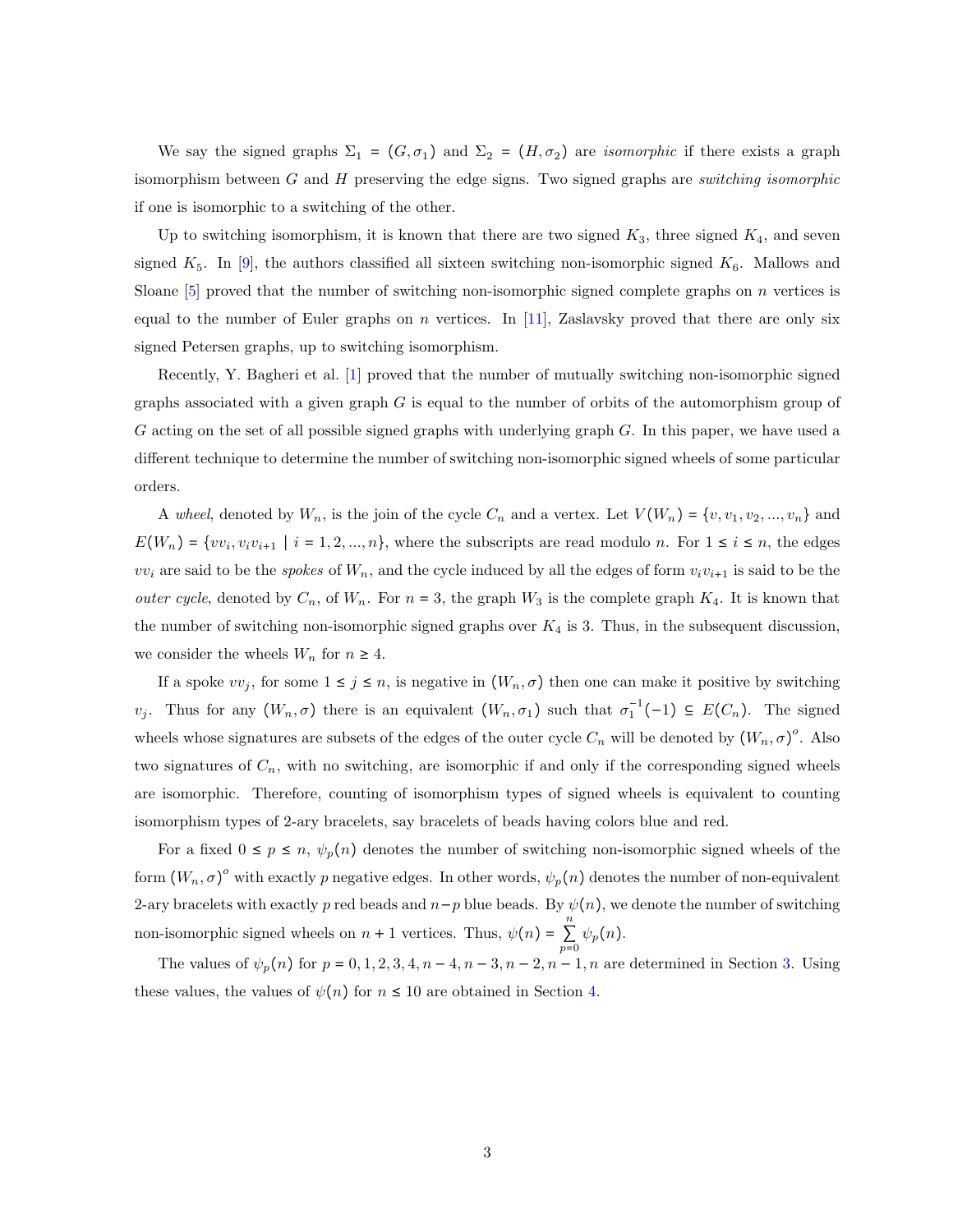We say the signed graphs  $\Sigma_1 = (G, \sigma_1)$  and  $\Sigma_2 = (H, \sigma_2)$  are *isomorphic* if there exists a graph isomorphism between  $G$  and  $H$  preserving the edge signs. Two signed graphs are *switching isomorphic* if one is isomorphic to a switching of the other.

Up to switching isomorphism, it is known that there are two signed  $K_3$ , three signed  $K_4$ , and seven signed  $K_5$ . In [\[9\]](#page-28-1), the authors classified all sixteen switching non-isomorphic signed  $K_6$ . Mallows and Sloane  $[5]$  proved that the number of switching non-isomorphic signed complete graphs on n vertices is equal to the number of Euler graphs on n vertices. In [\[11\]](#page-28-0), Zaslavsky proved that there are only six signed Petersen graphs, up to switching isomorphism.

Recently, Y. Bagheri et al. [\[1\]](#page-27-0) proved that the number of mutually switching non-isomorphic signed graphs associated with a given graph  $G$  is equal to the number of orbits of the automorphism group of G acting on the set of all possible signed graphs with underlying graph G. In this paper, we have used a different technique to determine the number of switching non-isomorphic signed wheels of some particular orders.

A wheel, denoted by  $W_n$ , is the join of the cycle  $C_n$  and a vertex. Let  $V(W_n) = \{v, v_1, v_2, ..., v_n\}$  and  $E(W_n) = \{vv_i, v_iv_{i+1} \mid i = 1, 2, ..., n\}$ , where the subscripts are read modulo n. For  $1 \le i \le n$ , the edges  $vv_i$  are said to be the *spokes* of  $W_n$ , and the cycle induced by all the edges of form  $v_i v_{i+1}$  is said to be the *outer cycle*, denoted by  $C_n$ , of  $W_n$ . For  $n = 3$ , the graph  $W_3$  is the complete graph  $K_4$ . It is known that the number of switching non-isomorphic signed graphs over  $K_4$  is 3. Thus, in the subsequent discussion, we consider the wheels  $W_n$  for  $n \geq 4$ .

If a spoke  $vv_j$ , for some  $1 \leq j \leq n$ , is negative in  $(W_n, \sigma)$  then one can make it positive by switching v<sub>j</sub>. Thus for any  $(W_n, \sigma)$  there is an equivalent  $(W_n, \sigma_1)$  such that  $\sigma_1^{-1}(-1) \subseteq E(C_n)$ . The signed wheels whose signatures are subsets of the edges of the outer cycle  $C_n$  will be denoted by  $(W_n, \sigma)^\circ$ . Also two signatures of  $C_n$ , with no switching, are isomorphic if and only if the corresponding signed wheels are isomorphic. Therefore, counting of isomorphism types of signed wheels is equivalent to counting isomorphism types of 2-ary bracelets, say bracelets of beads having colors blue and red.

For a fixed  $0 \le p \le n$ ,  $\psi_p(n)$  denotes the number of switching non-isomorphic signed wheels of the form  $(W_n, \sigma)^\circ$  with exactly p negative edges. In other words,  $\psi_p(n)$  denotes the number of non-equivalent 2-ary bracelets with exactly p red beads and  $n-p$  blue beads. By  $\psi(n)$ , we denote the number of switching non-isomorphic signed wheels on  $n + 1$  vertices. Thus,  $\psi(n) = \sum_{n=1}^{\infty}$  $\sum_{p=0} \psi_p(n)$ .

The values of  $\psi_p(n)$  for  $p = 0, 1, 2, 3, 4, n - 4, n - 3, n - 2, n - 1, n$  are determined in Section [3.](#page-20-0) Using these values, the values of  $\psi(n)$  for  $n \leq 10$  are obtained in Section [4.](#page-24-0)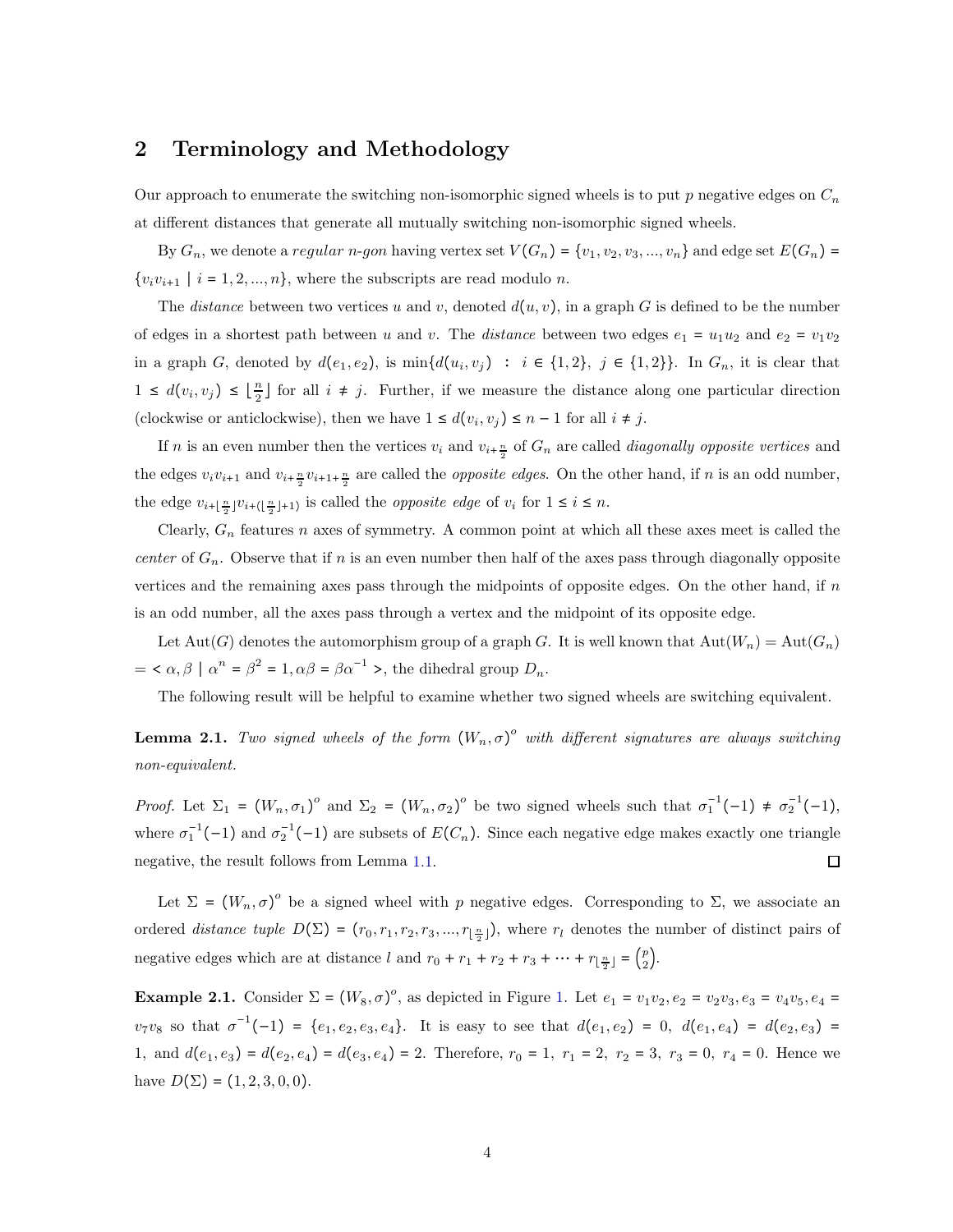### 2 Terminology and Methodology

Our approach to enumerate the switching non-isomorphic signed wheels is to put p negative edges on  $C_n$ at different distances that generate all mutually switching non-isomorphic signed wheels.

By  $G_n$ , we denote a regular n-gon having vertex set  $V(G_n) = \{v_1, v_2, v_3, ..., v_n\}$  and edge set  $E(G_n)$  $\{v_i v_{i+1} \mid i = 1, 2, ..., n\}$ , where the subscripts are read modulo n.

The *distance* between two vertices u and v, denoted  $d(u, v)$ , in a graph G is defined to be the number of edges in a shortest path between u and v. The distance between two edges  $e_1 = u_1u_2$  and  $e_2 = v_1v_2$ in a graph G, denoted by  $d(e_1, e_2)$ , is  $\min\{d(u_i, v_j) : i \in \{1, 2\}, j \in \{1, 2\}\}\.$  In  $G_n$ , it is clear that  $1 \leq d(v_i, v_j) \leq \left\lfloor \frac{n}{2} \right\rfloor$  $\frac{n}{2}$  for all  $i \neq j$ . Further, if we measure the distance along one particular direction (clockwise or anticlockwise), then we have  $1 \leq d(v_i, v_j) \leq n-1$  for all  $i \neq j$ .

If *n* is an even number then the vertices  $v_i$  and  $v_{i+\frac{n}{2}}$  of  $G_n$  are called *diagonally opposite vertices* and the edges  $v_i v_{i+1}$  and  $v_{i+\frac{n}{2}} v_{i+1+\frac{n}{2}}$  are called the *opposite edges*. On the other hand, if n is an odd number, the edge  $v_{i+\lfloor \frac{n}{2} \rfloor}v_{i+\lfloor \frac{n}{2} \rfloor+1}$  is called the *opposite edge* of  $v_i$  for  $1 \le i \le n$ .

Clearly,  $G_n$  features n axes of symmetry. A common point at which all these axes meet is called the center of  $G_n$ . Observe that if n is an even number then half of the axes pass through diagonally opposite vertices and the remaining axes pass through the midpoints of opposite edges. On the other hand, if  $n$ is an odd number, all the axes pass through a vertex and the midpoint of its opposite edge.

Let Aut(G) denotes the automorphism group of a graph G. It is well known that  $Aut(W_n) = Aut(G_n)$  $= \langle \alpha, \beta | \alpha^n = \beta^2 = 1, \alpha \beta = \beta \alpha^{-1} \rangle$ , the dihedral group  $D_n$ .

The following result will be helpful to examine whether two signed wheels are switching equivalent.

<span id="page-17-0"></span>**Lemma 2.1.** Two signed wheels of the form  $(W_n, \sigma)^o$  with different signatures are always switching non-equivalent.

Proof. Let  $\Sigma_1 = (W_n, \sigma_1)^\circ$  and  $\Sigma_2 = (W_n, \sigma_2)^\circ$  be two signed wheels such that  $\sigma_1^{-1}(-1) \neq \sigma_2^{-1}(-1)$ , where  $\sigma_1^{-1}(-1)$  and  $\sigma_2^{-1}(-1)$  are subsets of  $E(C_n)$ . Since each negative edge makes exactly one triangle negative, the result follows from Lemma [1.1.](#page-15-0)  $\Box$ 

Let  $\Sigma = (W_n, \sigma)^o$  be a signed wheel with p negative edges. Corresponding to  $\Sigma$ , we associate an ordered *distance tuple*  $D(\Sigma) = (r_0, r_1, r_2, r_3, ..., r_{\lfloor \frac{n}{2} \rfloor})$ , where  $r_l$  denotes the number of distinct pairs of negative edges which are at distance l and  $r_0 + r_1 + r_2 + r_3 + \cdots + r_{\lfloor \frac{n}{2} \rfloor} = \binom{p}{2}$  $\binom{p}{2}$ .

**Example 2.[1.](#page-18-0)** Consider  $\Sigma = (W_8, \sigma)^{\circ}$ , as depicted in Figure 1. Let  $e_1 = v_1v_2, e_2 = v_2v_3, e_3 = v_4v_5, e_4 = v_5v_5$  $v_7v_8$  so that  $\sigma^{-1}(-1) = \{e_1, e_2, e_3, e_4\}$ . It is easy to see that  $d(e_1, e_2) = 0$ ,  $d(e_1, e_4) = d(e_2, e_3) =$ 1, and  $d(e_1, e_3) = d(e_2, e_4) = d(e_3, e_4) = 2$ . Therefore,  $r_0 = 1$ ,  $r_1 = 2$ ,  $r_2 = 3$ ,  $r_3 = 0$ ,  $r_4 = 0$ . Hence we have  $D(\Sigma) = (1, 2, 3, 0, 0)$ .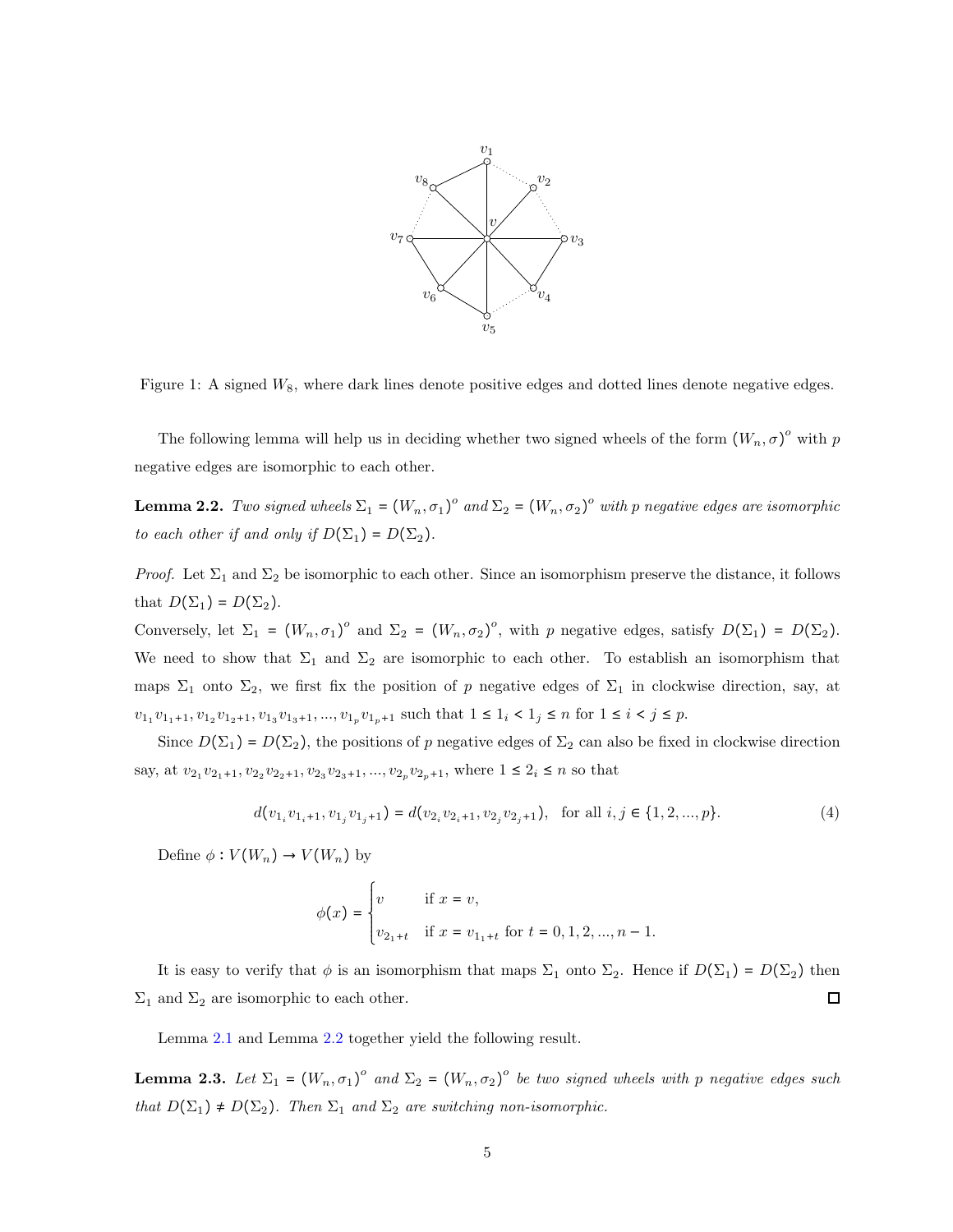<span id="page-18-0"></span>

Figure 1: A signed  $W_8$ , where dark lines denote positive edges and dotted lines denote negative edges.

The following lemma will help us in deciding whether two signed wheels of the form  $(W_n, \sigma)^o$  with p negative edges are isomorphic to each other.

<span id="page-18-1"></span>**Lemma 2.2.** Two signed wheels  $\Sigma_1 = (W_n, \sigma_1)^\circ$  and  $\Sigma_2 = (W_n, \sigma_2)^\circ$  with p negative edges are isomorphic to each other if and only if  $D(\Sigma_1) = D(\Sigma_2)$ .

*Proof.* Let  $\Sigma_1$  and  $\Sigma_2$  be isomorphic to each other. Since an isomorphism preserve the distance, it follows that  $D(\Sigma_1) = D(\Sigma_2)$ .

Conversely, let  $\Sigma_1 = (W_n, \sigma_1)^o$  and  $\Sigma_2 = (W_n, \sigma_2)^o$ , with p negative edges, satisfy  $D(\Sigma_1) = D(\Sigma_2)$ . We need to show that  $\Sigma_1$  and  $\Sigma_2$  are isomorphic to each other. To establish an isomorphism that maps  $\Sigma_1$  onto  $\Sigma_2$ , we first fix the position of p negative edges of  $\Sigma_1$  in clockwise direction, say, at  $v_{1_1}v_{1_1+1}, v_{1_2}v_{1_2+1}, v_{1_3}v_{1_3+1}, ..., v_{1_p}v_{1_p+1}$  such that  $1 \leq 1_i < 1_j \leq n$  for  $1 \leq i < j \leq p$ .

Since  $D(\Sigma_1) = D(\Sigma_2)$ , the positions of p negative edges of  $\Sigma_2$  can also be fixed in clockwise direction say, at  $v_{2_1}v_{2_1+1}, v_{2_2}v_{2_2+1}, v_{2_3}v_{2_3+1}, ..., v_{2_p}v_{2_p+1}$ , where  $1 \leq 2_i \leq n$  so that

$$
d(v_{1_i}v_{1_i+1}, v_{1_j}v_{1_j+1}) = d(v_{2_i}v_{2_i+1}, v_{2_j}v_{2_j+1}), \text{ for all } i, j \in \{1, 2, ..., p\}. \tag{4}
$$

Define  $\phi: V(W_n) \to V(W_n)$  by

$$
\phi(x) = \begin{cases} v & \text{if } x = v, \\ v_{2_1 + t} & \text{if } x = v_{1_1 + t} \text{ for } t = 0, 1, 2, ..., n - 1. \end{cases}
$$

It is easy to verify that  $\phi$  is an isomorphism that maps  $\Sigma_1$  onto  $\Sigma_2$ . Hence if  $D(\Sigma_1) = D(\Sigma_2)$  then  $\Sigma_1$  and  $\Sigma_2$  are isomorphic to each other.  $\Box$ 

Lemma [2.1](#page-17-0) and Lemma [2.2](#page-18-1) together yield the following result.

<span id="page-18-2"></span>**Lemma 2.3.** Let  $\Sigma_1 = (W_n, \sigma_1)^\circ$  and  $\Sigma_2 = (W_n, \sigma_2)^\circ$  be two signed wheels with p negative edges such that  $D(\Sigma_1) \neq D(\Sigma_2)$ . Then  $\Sigma_1$  and  $\Sigma_2$  are switching non-isomorphic.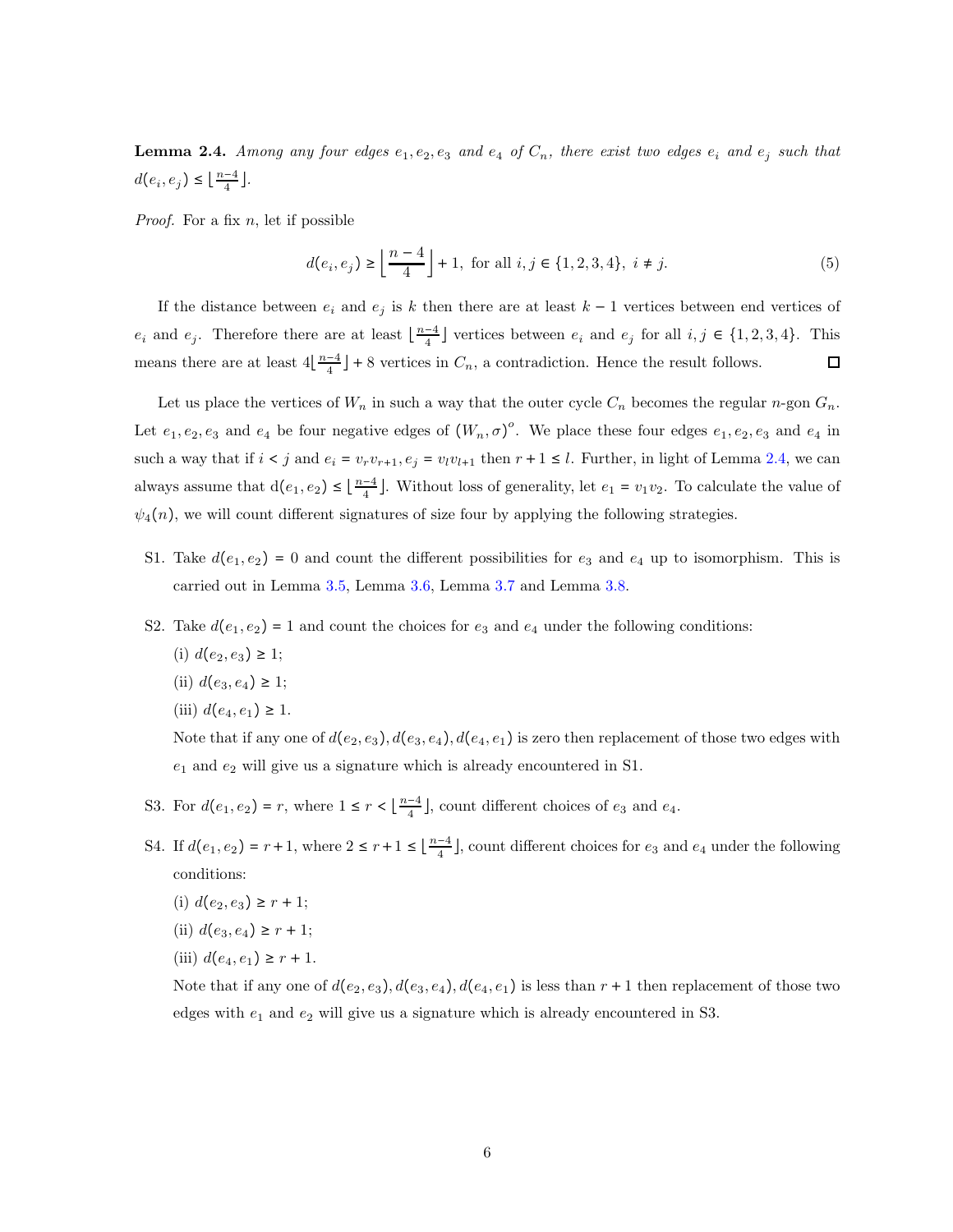<span id="page-19-0"></span>**Lemma 2.4.** Among any four edges  $e_1, e_2, e_3$  and  $e_4$  of  $C_n$ , there exist two edges  $e_i$  and  $e_j$  such that  $d(e_i, e_j) \leq \lfloor \frac{n-4}{4} \rfloor$  $\frac{-4}{4}$ .

*Proof.* For a fix  $n$ , let if possible

$$
d(e_i, e_j) \ge \left\lfloor \frac{n-4}{4} \right\rfloor + 1, \text{ for all } i, j \in \{1, 2, 3, 4\}, i \ne j. \tag{5}
$$

If the distance between  $e_i$  and  $e_j$  is k then there are at least  $k-1$  vertices between end vertices of  $e_i$  and  $e_j$ . Therefore there are at least  $\lfloor \frac{n-4}{4} \rfloor$  $\frac{-4}{4}$  vertices between  $e_i$  and  $e_j$  for all  $i, j \in \{1, 2, 3, 4\}$ . This means there are at least  $4\left\lfloor \frac{n-4}{4}\right\rfloor$  $\frac{-4}{4}$  + 8 vertices in  $C_n$ , a contradiction. Hence the result follows.  $\Box$ 

Let us place the vertices of  $W_n$  in such a way that the outer cycle  $C_n$  becomes the regular n-gon  $G_n$ . Let  $e_1, e_2, e_3$  and  $e_4$  be four negative edges of  $(W_n, \sigma)^\circ$ . We place these four edges  $e_1, e_2, e_3$  and  $e_4$  in such a way that if  $i < j$  and  $e_i = v_r v_{r+1}, e_j = v_l v_{l+1}$  then  $r+1 \leq l$ . Further, in light of Lemma [2.4,](#page-19-0) we can always assume that  $d(e_1, e_2) \leq \lfloor \frac{n-4}{4} \rfloor$  $\frac{-4}{4}$ . Without loss of generality, let  $e_1 = v_1v_2$ . To calculate the value of  $\psi_4(n)$ , we will count different signatures of size four by applying the following strategies.

- S1. Take  $d(e_1, e_2) = 0$  and count the different possibilities for  $e_3$  and  $e_4$  up to isomorphism. This is carried out in Lemma [3.5,](#page-21-0) Lemma [3.6,](#page-21-1) Lemma [3.7](#page-21-2) and Lemma [3.8.](#page-21-3)
- S2. Take  $d(e_1, e_2) = 1$  and count the choices for  $e_3$  and  $e_4$  under the following conditions:
	- (i)  $d(e_2, e_3) \geq 1$ ;
	- (ii)  $d(e_3, e_4) \geq 1$ ;
	- (iii)  $d(e_4, e_1) \geq 1$ .

Note that if any one of  $d(e_2, e_3)$ ,  $d(e_3, e_4)$ ,  $d(e_4, e_1)$  is zero then replacement of those two edges with  $e_1$  and  $e_2$  will give us a signature which is already encountered in S1.

- S3. For  $d(e_1, e_2) = r$ , where  $1 \leq r < \lfloor \frac{n-4}{4} \rfloor$  $\frac{-4}{4}$ , count different choices of  $e_3$  and  $e_4$ .
- S4. If  $d(e_1, e_2) = r + 1$ , where  $2 \le r + 1 \le \lfloor \frac{n-4}{4} \rfloor$  $\frac{-4}{4}$ , count different choices for  $e_3$  and  $e_4$  under the following conditions:
	- (i)  $d(e_2, e_3) \geq r + 1$ ;
	- (ii)  $d(e_3, e_4) \geq r + 1$ ;
	- (iii)  $d(e_4, e_1) \geq r + 1$ .

Note that if any one of  $d(e_2, e_3)$ ,  $d(e_3, e_4)$ ,  $d(e_4, e_1)$  is less than  $r + 1$  then replacement of those two edges with  $e_1$  and  $e_2$  will give us a signature which is already encountered in S3.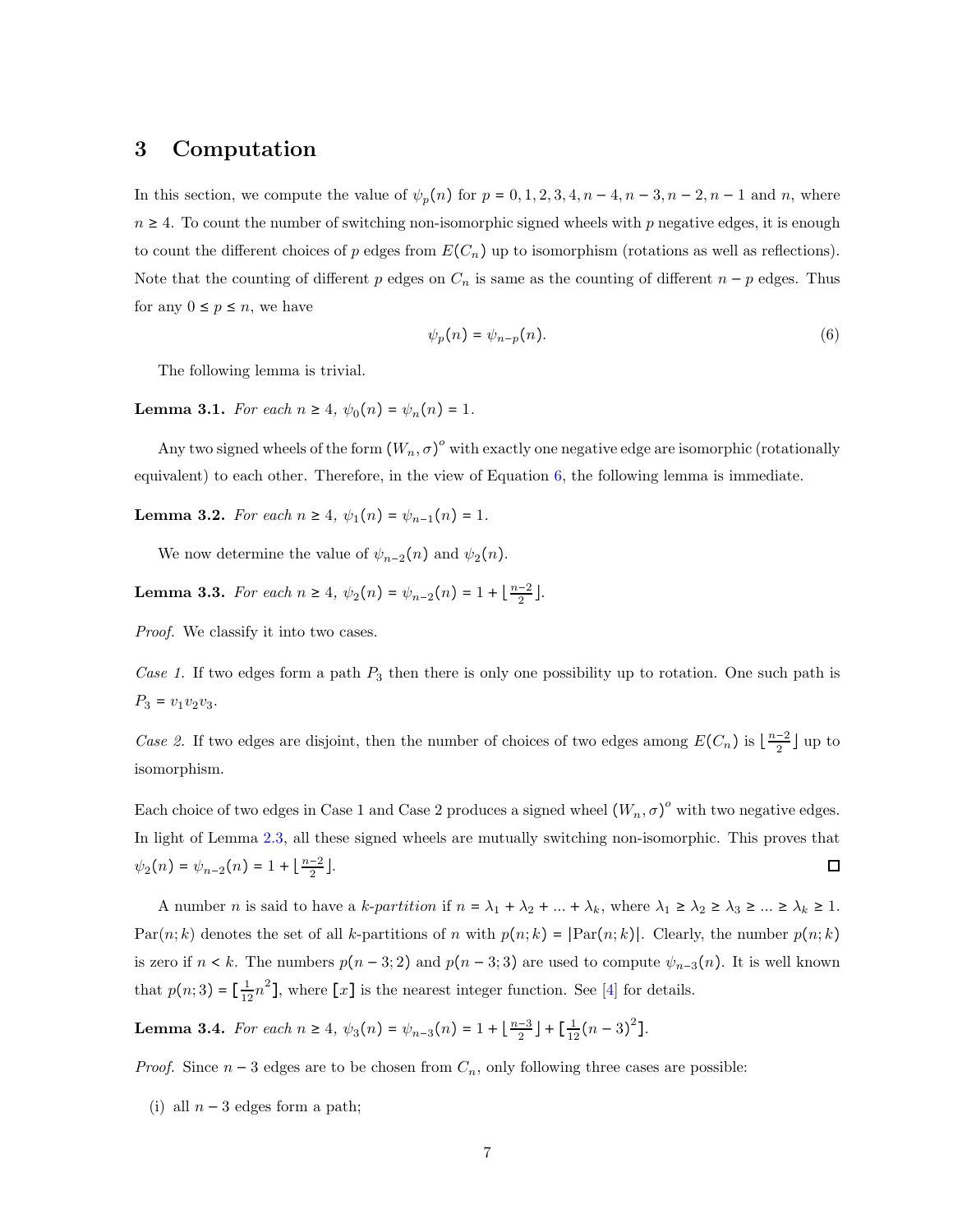### <span id="page-20-0"></span>3 Computation

In this section, we compute the value of  $\psi_p(n)$  for  $p = 0, 1, 2, 3, 4, n - 4, n - 3, n - 2, n - 1$  and n, where  $n \geq 4$ . To count the number of switching non-isomorphic signed wheels with p negative edges, it is enough to count the different choices of p edges from  $E(C_n)$  up to isomorphism (rotations as well as reflections). Note that the counting of different p edges on  $C_n$  is same as the counting of different  $n - p$  edges. Thus for any  $0 \leq p \leq n$ , we have

<span id="page-20-5"></span>
$$
\psi_p(n) = \psi_{n-p}(n). \tag{6}
$$

The following lemma is trivial.

<span id="page-20-1"></span>Lemma 3.1. For each  $n \ge 4$ ,  $\psi_0(n) = \psi_n(n) = 1$ .

Any two signed wheels of the form  $(W_n, \sigma)^\circ$  with exactly one negative edge are isomorphic (rotationally equivalent) to each other. Therefore, in the view of Equation [6,](#page-20-5) the following lemma is immediate.

<span id="page-20-2"></span>Lemma 3.2. For each  $n \geq 4$ ,  $\psi_1(n) = \psi_{n-1}(n) = 1$ .

We now determine the value of  $\psi_{n-2}(n)$  and  $\psi_2(n)$ .

<span id="page-20-3"></span>Lemma 3.3. For each  $n \ge 4$ ,  $\psi_2(n) = \psi_{n-2}(n) = 1 + \lfloor \frac{n-2}{2} \rfloor$  $\frac{-2}{2}$ .

Proof. We classify it into two cases.

Case 1. If two edges form a path  $P_3$  then there is only one possibility up to rotation. One such path is  $P_3 = v_1v_2v_3.$ 

Case 2. If two edges are disjoint, then the number of choices of two edges among  $E(C_n)$  is  $\lfloor \frac{n-2}{2} \rfloor$  $\frac{-2}{2}$  | up to isomorphism.

Each choice of two edges in Case 1 and Case 2 produces a signed wheel  $(W_n, \sigma)^o$  with two negative edges. In light of Lemma [2.3,](#page-18-2) all these signed wheels are mutually switching non-isomorphic. This proves that  $\psi_2(n) = \psi_{n-2}(n) = 1 + \left\lfloor \frac{n-2}{2} \right\rfloor$  $\frac{-2}{2}$ .  $\Box$ 

A number *n* is said to have a k-partition if  $n = \lambda_1 + \lambda_2 + ... + \lambda_k$ , where  $\lambda_1 \geq \lambda_2 \geq \lambda_3 \geq ... \geq \lambda_k \geq 1$ . Par $(n; k)$  denotes the set of all k-partitions of n with  $p(n; k)$  = |Par $(n; k)$ |. Clearly, the number  $p(n; k)$ is zero if  $n < k$ . The numbers  $p(n-3, 2)$  and  $p(n-3, 3)$  are used to compute  $\psi_{n-3}(n)$ . It is well known that  $p(n; 3) = \left[\frac{1}{12}n^2\right]$ , where  $\left[x\right]$  is the nearest integer function. See [\[4\]](#page-28-7) for details.

<span id="page-20-4"></span>Lemma 3.4. For each  $n \ge 4$ ,  $\psi_3(n) = \psi_{n-3}(n) = 1 + \lfloor \frac{n-3}{2} \rfloor$  $\frac{-3}{2}$  | +  $\left[\frac{1}{12}(n-3)^2\right]$ .

*Proof.* Since  $n-3$  edges are to be chosen from  $C_n$ , only following three cases are possible:

(i) all  $n-3$  edges form a path;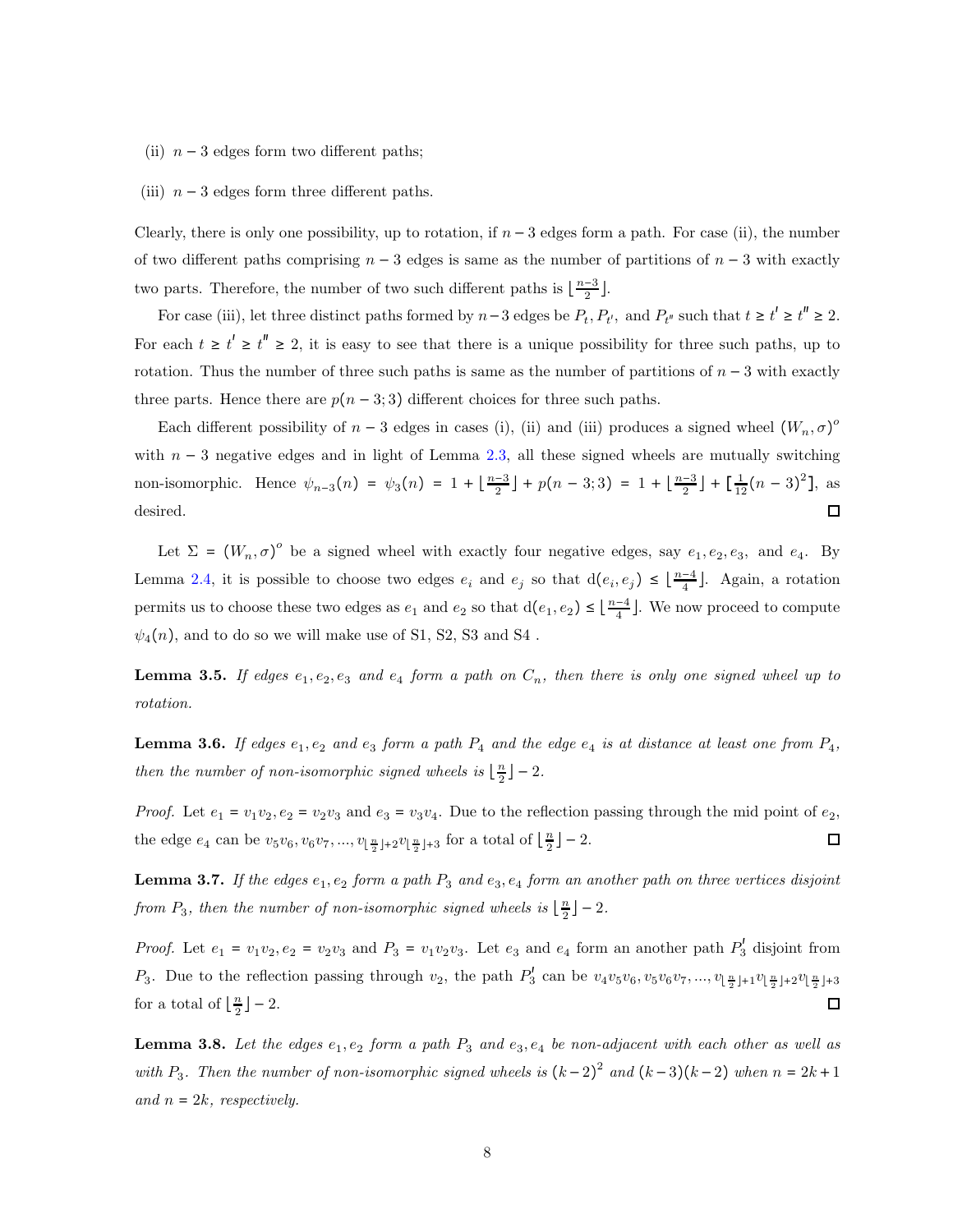- (ii)  $n-3$  edges form two different paths;
- (iii)  $n-3$  edges form three different paths.

Clearly, there is only one possibility, up to rotation, if  $n-3$  edges form a path. For case (ii), the number of two different paths comprising  $n-3$  edges is same as the number of partitions of  $n-3$  with exactly two parts. Therefore, the number of two such different paths is  $\lfloor \frac{n-3}{2} \rfloor$  $\frac{-3}{2}$ .

For case (iii), let three distinct paths formed by  $n-3$  edges be  $P_t$ ,  $P_{t'}$ , and  $P_{t''}$  such that  $t \ge t' \ge t'' \ge 2$ . For each  $t \geq t' \geq t'' \geq 2$ , it is easy to see that there is a unique possibility for three such paths, up to rotation. Thus the number of three such paths is same as the number of partitions of  $n-3$  with exactly three parts. Hence there are  $p(n-3,3)$  different choices for three such paths.

Each different possibility of  $n-3$  edges in cases (i), (ii) and (iii) produces a signed wheel  $(W_n, \sigma)^o$ with  $n-3$  negative edges and in light of Lemma [2.3,](#page-18-2) all these signed wheels are mutually switching non-isomorphic. Hence  $\psi_{n-3}(n) = \psi_3(n) = 1 + \left\lfloor \frac{n-3}{2} \right\rfloor$  $\frac{-3}{2}$  + p(n - 3; 3) = 1 +  $\frac{n-3}{2}$  $\frac{-3}{2}$  +  $\left[\frac{1}{12}(n-3)^2\right]$ , as desired. П

Let  $\Sigma = (W_n, \sigma)^{\circ}$  be a signed wheel with exactly four negative edges, say  $e_1, e_2, e_3$ , and  $e_4$ . By Lemma [2.4,](#page-19-0) it is possible to choose two edges  $e_i$  and  $e_j$  so that  $d(e_i, e_j) \leq \lfloor \frac{n-4}{4} \rfloor$  $\frac{-4}{4}$ ]. Again, a rotation permits us to choose these two edges as  $e_1$  and  $e_2$  so that  $d(e_1, e_2) \leq \lfloor \frac{n-4}{4} \rfloor$  $\frac{-4}{4}$ . We now proceed to compute  $\psi_4(n)$ , and to do so we will make use of S1, S2, S3 and S4.

<span id="page-21-0"></span>**Lemma 3.5.** If edges  $e_1, e_2, e_3$  and  $e_4$  form a path on  $C_n$ , then there is only one signed wheel up to rotation.

<span id="page-21-1"></span>**Lemma 3.6.** If edges  $e_1, e_2$  and  $e_3$  form a path  $P_4$  and the edge  $e_4$  is at distance at least one from  $P_4$ , then the number of non-isomorphic signed wheels is  $\lfloor \frac{n}{2} \rfloor$  $\frac{n}{2}$ ] – 2.

*Proof.* Let  $e_1 = v_1v_2$ ,  $e_2 = v_2v_3$  and  $e_3 = v_3v_4$ . Due to the reflection passing through the mid point of  $e_2$ , the edge  $e_4$  can be  $v_5v_6, v_6v_7, ..., v_{\lfloor \frac{n}{2} \rfloor+2}v_{\lfloor \frac{n}{2} \rfloor+3}$  for a total of  $\lfloor \frac{n}{2} \rfloor$  $\frac{n}{2}$ ] – 2. □

<span id="page-21-2"></span>**Lemma 3.7.** If the edges  $e_1, e_2$  form a path  $P_3$  and  $e_3, e_4$  form an another path on three vertices disjoint from  $P_3$ , then the number of non-isomorphic signed wheels is  $\lfloor \frac{n}{2} \rfloor$  $\frac{n}{2}$ ] – 2.

*Proof.* Let  $e_1 = v_1v_2, e_2 = v_2v_3$  and  $P_3 = v_1v_2v_3$ . Let  $e_3$  and  $e_4$  form an another path  $P'_3$  disjoint from  $P_3$ . Due to the reflection passing through  $v_2$ , the path  $P_3^l$  can be  $v_4v_5v_6, v_5v_6v_7, ..., v_{\lfloor \frac{n}{2} \rfloor+1}v_{\lfloor \frac{n}{2} \rfloor+2}v_{\lfloor \frac{n}{2} \rfloor+3}$ for a total of  $\lfloor \frac{n}{2} \rfloor$  $\frac{n}{2}$ ] – 2.  $\Box$ 

<span id="page-21-3"></span>**Lemma 3.8.** Let the edges  $e_1, e_2$  form a path  $P_3$  and  $e_3, e_4$  be non-adjacent with each other as well as with  $P_3$ . Then the number of non-isomorphic signed wheels is  $(k-2)^2$  and  $(k-3)(k-2)$  when  $n = 2k+1$ and  $n = 2k$ , respectively.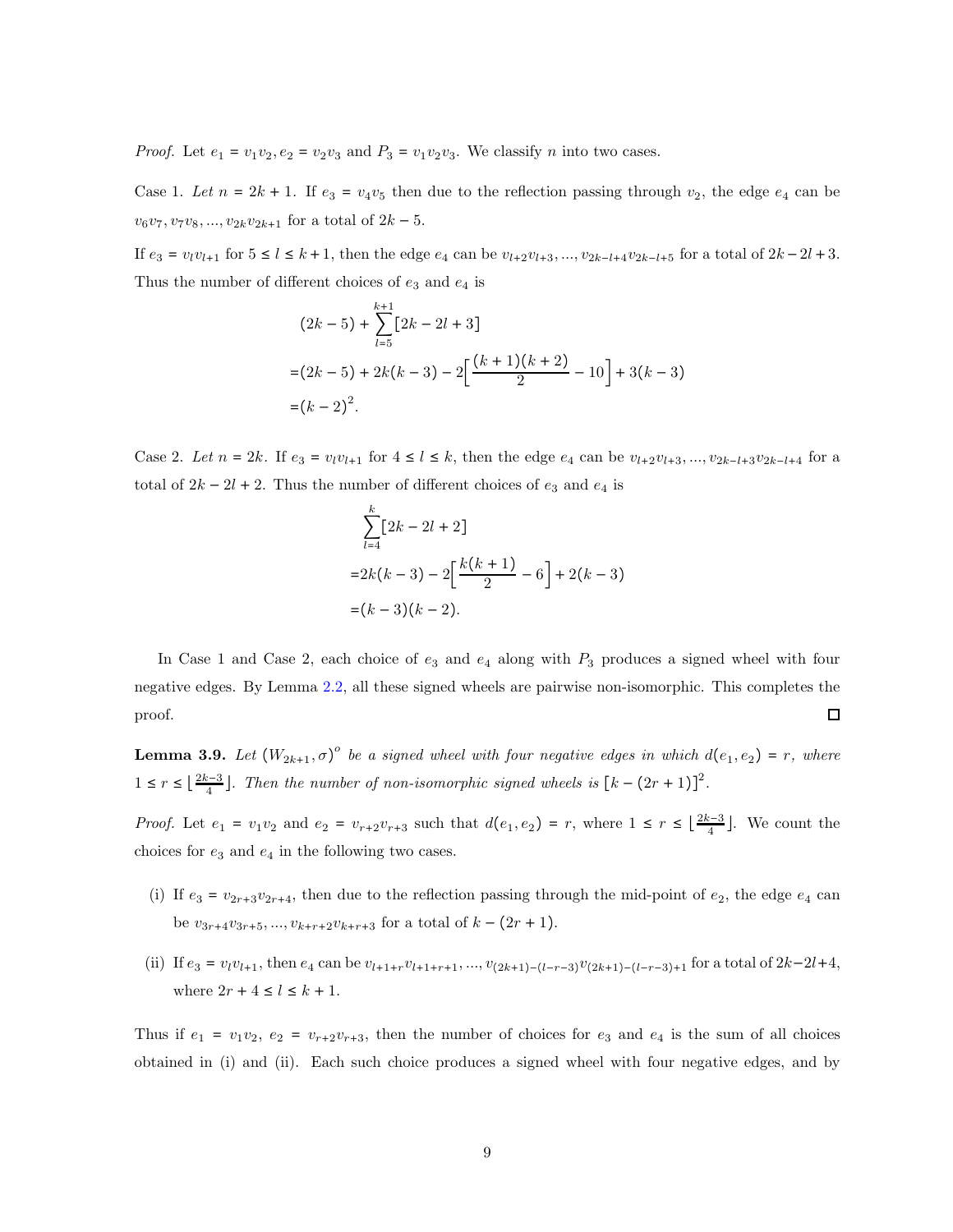*Proof.* Let  $e_1 = v_1v_2$ ,  $e_2 = v_2v_3$  and  $P_3 = v_1v_2v_3$ . We classify n into two cases.

Case 1. Let  $n = 2k + 1$ . If  $e_3 = v_4v_5$  then due to the reflection passing through  $v_2$ , the edge  $e_4$  can be  $v_6v_7, v_7v_8, ..., v_{2k}v_{2k+1}$  for a total of  $2k-5$ .

If  $e_3 = v_l v_{l+1}$  for  $5 \le l \le k+1$ , then the edge  $e_4$  can be  $v_{l+2}v_{l+3},..., v_{2k-l+4}v_{2k-l+5}$  for a total of  $2k-2l+3$ . Thus the number of different choices of  $e_3$  and  $e_4$  is

$$
(2k-5) + \sum_{l=5}^{k+1} [2k - 2l + 3]
$$
  
=  $(2k-5) + 2k(k-3) - 2\Big[\frac{(k+1)(k+2)}{2} - 10\Big] + 3(k-3)$   
=  $(k-2)^2$ .

Case 2. Let  $n = 2k$ . If  $e_3 = v_1v_{l+1}$  for  $4 \le l \le k$ , then the edge  $e_4$  can be  $v_{l+2}v_{l+3}, ..., v_{2k-l+3}v_{2k-l+4}$  for a total of  $2k - 2l + 2$ . Thus the number of different choices of  $e_3$  and  $e_4$  is

$$
\sum_{l=4}^{k} [2k - 2l + 2]
$$
  
= 2k(k - 3) - 2\left[\frac{k(k + 1)}{2} - 6\right] + 2(k - 3)  
= (k - 3)(k - 2).

In Case 1 and Case 2, each choice of  $e_3$  and  $e_4$  along with  $P_3$  produces a signed wheel with four negative edges. By Lemma [2.2,](#page-18-1) all these signed wheels are pairwise non-isomorphic. This completes the proof.  $\Box$ 

**Lemma 3.9.** Let  $(W_{2k+1}, \sigma)^{\circ}$  be a signed wheel with four negative edges in which  $d(e_1, e_2) = r$ , where  $1 \leq r \leq \left\lfloor \frac{2k-3}{4} \right\rfloor$  $\frac{n-3}{4}$ . Then the number of non-isomorphic signed wheels is  $\left[k - (2r + 1)\right]^2$ .

*Proof.* Let  $e_1 = v_1v_2$  and  $e_2 = v_{r+2}v_{r+3}$  such that  $d(e_1, e_2) = r$ , where  $1 \leq r \leq \lfloor \frac{2k-3}{4} \rfloor$  $\frac{1}{4}$ . We count the choices for  $e_3$  and  $e_4$  in the following two cases.

- (i) If  $e_3 = v_{2r+3}v_{2r+4}$ , then due to the reflection passing through the mid-point of  $e_2$ , the edge  $e_4$  can be  $v_{3r+4}v_{3r+5},..., v_{k+r+2}v_{k+r+3}$  for a total of  $k - (2r + 1)$ .
- (ii) If  $e_3 = v_l v_{l+1}$ , then  $e_4$  can be  $v_{l+1+r}v_{l+1+r+1},...,v_{(2k+1)-(l-r-3)}v_{(2k+1)-(l-r-3)+1}$  for a total of  $2k-2l+4$ , where  $2r + 4 \leq l \leq k + 1$ .

Thus if  $e_1 = v_1v_2$ ,  $e_2 = v_{r+2}v_{r+3}$ , then the number of choices for  $e_3$  and  $e_4$  is the sum of all choices obtained in (i) and (ii). Each such choice produces a signed wheel with four negative edges, and by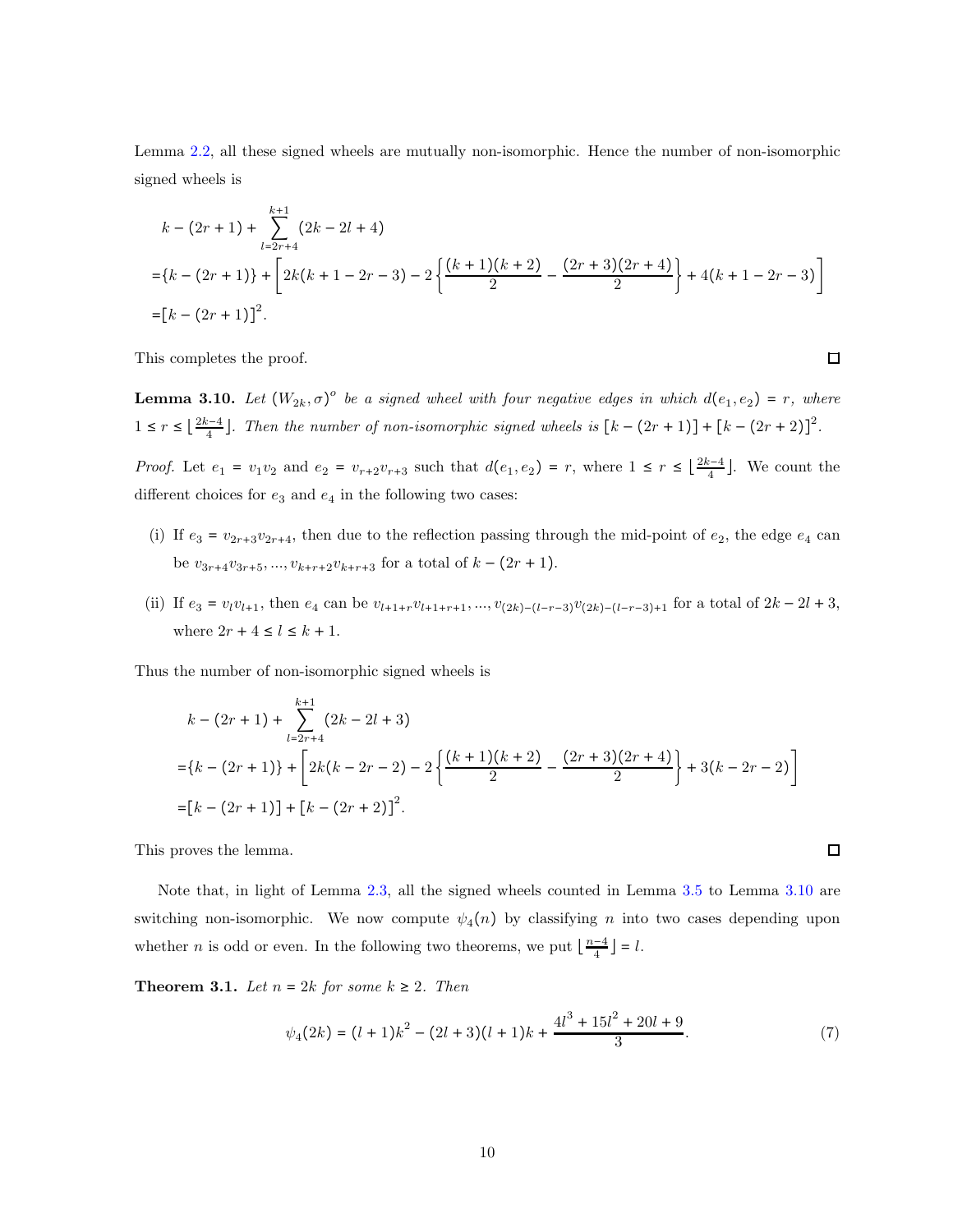Lemma [2.2,](#page-18-1) all these signed wheels are mutually non-isomorphic. Hence the number of non-isomorphic signed wheels is

$$
k - (2r + 1) + \sum_{l=2r+4}^{k+1} (2k - 2l + 4)
$$
  
= {k - (2r + 1)} +  $\left[ 2k(k + 1 - 2r - 3) - 2 \left\{ \frac{(k+1)(k+2)}{2} - \frac{(2r+3)(2r+4)}{2} \right\} + 4(k+1-2r-3) \right]$   
=  $[k - (2r + 1)]^2$ .

This completes the proof.

<span id="page-23-0"></span>**Lemma 3.10.** Let  $(W_{2k}, \sigma)^{\circ}$  be a signed wheel with four negative edges in which  $d(e_1, e_2) = r$ , where  $1 \leq r \leq \left\lfloor \frac{2k-4}{4} \right\rfloor$  $\frac{n-4}{4}$ . Then the number of non-isomorphic signed wheels is  $\left[k - (2r + 1)\right] + \left[k - (2r + 2)\right]^2$ .

 $\Box$ 

 $\Box$ 

*Proof.* Let  $e_1 = v_1v_2$  and  $e_2 = v_{r+2}v_{r+3}$  such that  $d(e_1, e_2) = r$ , where  $1 \leq r \leq \lfloor \frac{2k-4}{4} \rfloor$  $\frac{c-4}{4}$ . We count the different choices for  $e_3$  and  $e_4$  in the following two cases:

- (i) If  $e_3 = v_{2r+3}v_{2r+4}$ , then due to the reflection passing through the mid-point of  $e_2$ , the edge  $e_4$  can be  $v_{3r+4}v_{3r+5},..., v_{k+r+2}v_{k+r+3}$  for a total of  $k - (2r + 1)$ .
- (ii) If  $e_3 = v_l v_{l+1}$ , then  $e_4$  can be  $v_{l+1+r}v_{l+1+r+1},..., v_{(2k)-(l-r-3)}v_{(2k)-(l-r-3)+1}$  for a total of  $2k-2l+3$ , where  $2r + 4 \le l \le k + 1$ .

Thus the number of non-isomorphic signed wheels is

$$
k - (2r + 1) + \sum_{l=2r+4}^{k+1} (2k - 2l + 3)
$$
  
=  $\{k - (2r + 1)\} + \left[2k(k - 2r - 2) - 2\left\{\frac{(k+1)(k+2)}{2} - \frac{(2r+3)(2r+4)}{2}\right\} + 3(k - 2r - 2)\right\}$   
=  $[k - (2r + 1)] + [k - (2r + 2)]^2$ .

This proves the lemma.

Note that, in light of Lemma [2.3,](#page-18-2) all the signed wheels counted in Lemma [3.5](#page-21-0) to Lemma [3.10](#page-23-0) are switching non-isomorphic. We now compute  $\psi_4(n)$  by classifying n into two cases depending upon whether *n* is odd or even. In the following two theorems, we put  $\lfloor \frac{n-4}{4} \rfloor$  $\frac{-4}{4}$ ] = l.

<span id="page-23-1"></span>**Theorem 3.1.** Let  $n = 2k$  for some  $k \geq 2$ . Then

$$
\psi_4(2k) = (l+1)k^2 - (2l+3)(l+1)k + \frac{4l^3 + 15l^2 + 20l + 9}{3}.\tag{7}
$$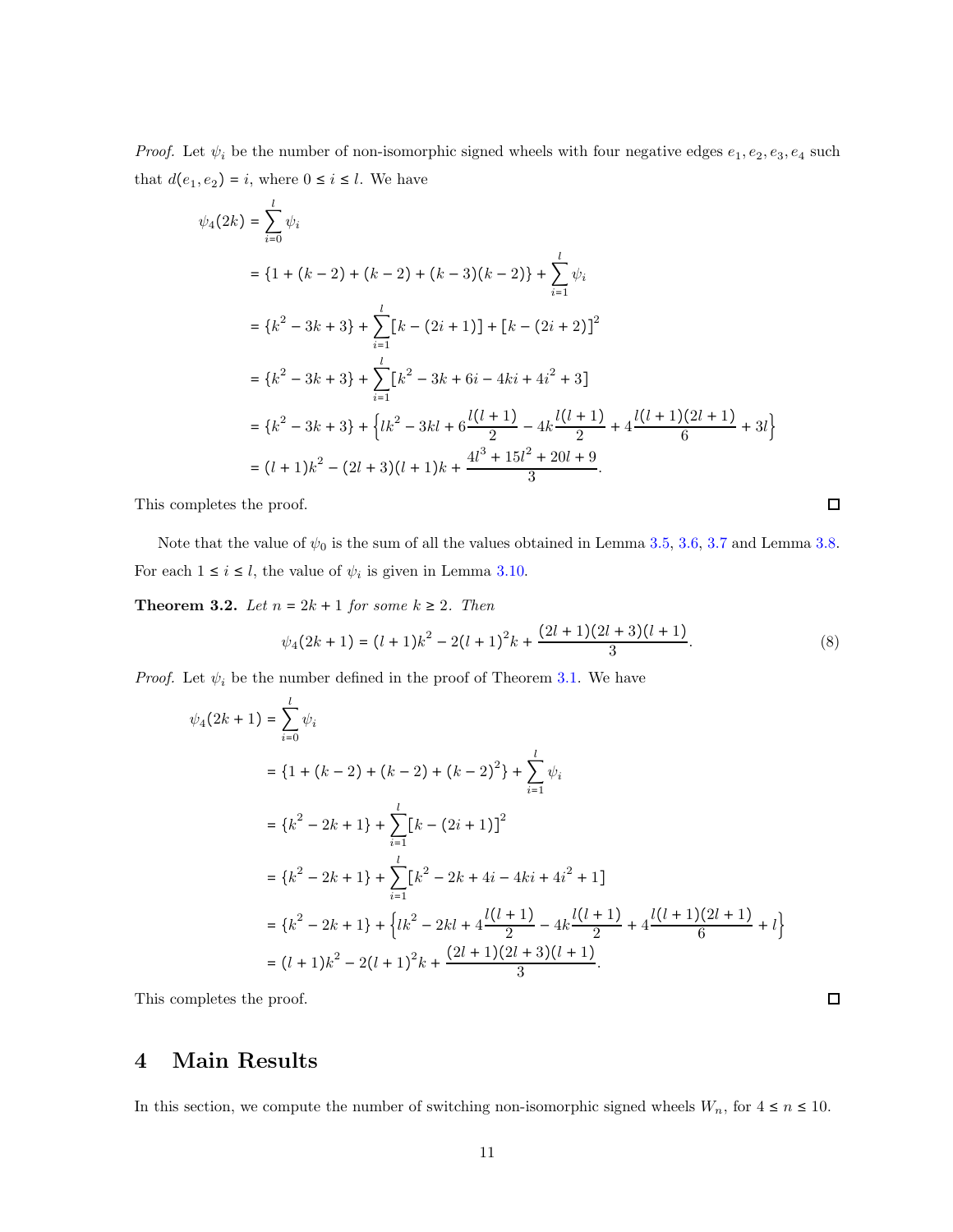*Proof.* Let  $\psi_i$  be the number of non-isomorphic signed wheels with four negative edges  $e_1, e_2, e_3, e_4$  such that  $d(e_1, e_2) = i$ , where  $0 \le i \le l$ . We have

$$
\psi_4(2k) = \sum_{i=0}^{l} \psi_i
$$
  
=  $\{1 + (k - 2) + (k - 2) + (k - 3)(k - 2)\} + \sum_{i=1}^{l} \psi_i$   
=  $\{k^2 - 3k + 3\} + \sum_{i=1}^{l} [k - (2i + 1)] + [k - (2i + 2)]^2$   
=  $\{k^2 - 3k + 3\} + \sum_{i=1}^{l} [k^2 - 3k + 6i - 4ki + 4i^2 + 3]$   
=  $\{k^2 - 3k + 3\} + \{lk^2 - 3kl + 6\frac{l(l + 1)}{2} - 4k\frac{l(l + 1)}{2} + 4\frac{l(l + 1)(2l + 1)}{6} + 3l\}$   
=  $(l + 1)k^2 - (2l + 3)(l + 1)k + \frac{4l^3 + 15l^2 + 20l + 9}{3}$ .

This completes the proof.

Note that the value of  $\psi_0$  is the sum of all the values obtained in Lemma [3.5,](#page-21-0) [3.6,](#page-21-1) [3.7](#page-21-2) and Lemma [3.8.](#page-21-3) For each  $1 \le i \le l$ , the value of  $\psi_i$  is given in Lemma [3.10.](#page-23-0)

<span id="page-24-1"></span>**Theorem 3.2.** Let  $n = 2k + 1$  for some  $k \ge 2$ . Then

$$
\psi_4(2k+1) = (l+1)k^2 - 2(l+1)^2k + \frac{(2l+1)(2l+3)(l+1)}{3}.
$$
\n(8)

*Proof.* Let  $\psi_i$  be the number defined in the proof of Theorem [3.1.](#page-23-1) We have

$$
\psi_4(2k+1) = \sum_{i=0}^{l} \psi_i
$$
  
=  $\{1 + (k - 2) + (k - 2) + (k - 2)^2\} + \sum_{i=1}^{l} \psi_i$   
=  $\{k^2 - 2k + 1\} + \sum_{i=1}^{l} [k - (2i + 1)]^2$   
=  $\{k^2 - 2k + 1\} + \sum_{i=1}^{l} [k^2 - 2k + 4i - 4ki + 4i^2 + 1]$   
=  $\{k^2 - 2k + 1\} + \{lk^2 - 2kl + 4\frac{l(l+1)}{2} - 4k\frac{l(l+1)}{2} + 4\frac{l(l+1)(2l+1)}{6} + l\}$   
=  $(l+1)k^2 - 2(l+1)^2k + \frac{(2l+1)(2l+3)(l+1)}{3}.$ 

<span id="page-24-0"></span>This completes the proof.

### 4 Main Results

In this section, we compute the number of switching non-isomorphic signed wheels  $W_n$ , for  $4 \le n \le 10$ .

 $\Box$ 

 $\Box$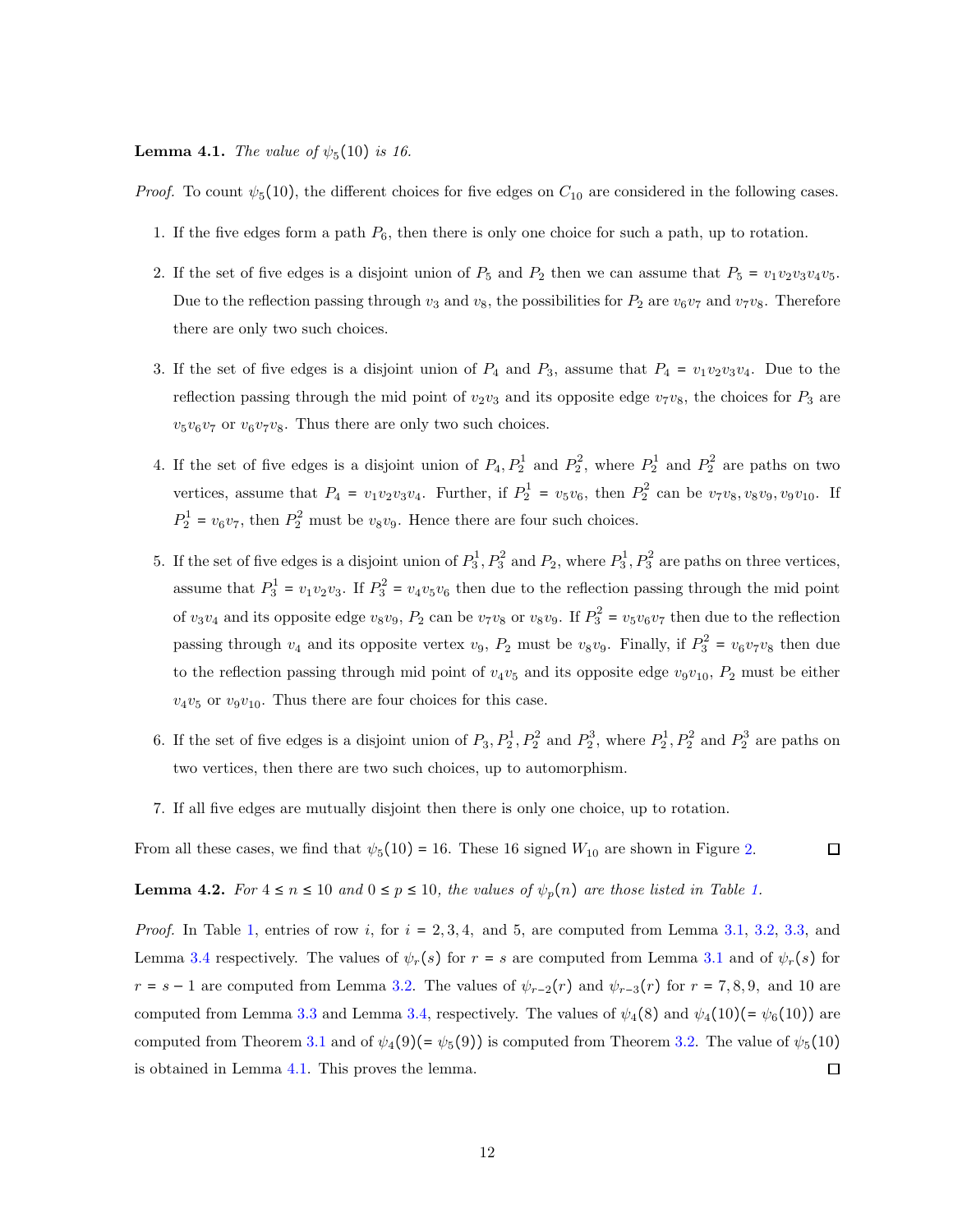#### <span id="page-25-0"></span>**Lemma 4.1.** The value of  $\psi_5(10)$  is 16.

*Proof.* To count  $\psi_5(10)$ , the different choices for five edges on  $C_{10}$  are considered in the following cases.

- 1. If the five edges form a path  $P_6$ , then there is only one choice for such a path, up to rotation.
- 2. If the set of five edges is a disjoint union of  $P_5$  and  $P_2$  then we can assume that  $P_5 = v_1v_2v_3v_4v_5$ . Due to the reflection passing through  $v_3$  and  $v_8$ , the possibilities for  $P_2$  are  $v_6v_7$  and  $v_7v_8$ . Therefore there are only two such choices.
- 3. If the set of five edges is a disjoint union of  $P_4$  and  $P_3$ , assume that  $P_4 = v_1v_2v_3v_4$ . Due to the reflection passing through the mid point of  $v_2v_3$  and its opposite edge  $v_7v_8$ , the choices for  $P_3$  are  $v_5v_6v_7$  or  $v_6v_7v_8$ . Thus there are only two such choices.
- 4. If the set of five edges is a disjoint union of  $P_4, P_2^1$  and  $P_2^2$ , where  $P_2^1$  and  $P_2^2$  are paths on two vertices, assume that  $P_4 = v_1v_2v_3v_4$ . Further, if  $P_2^1 = v_5v_6$ , then  $P_2^2$  can be  $v_7v_8, v_8v_9, v_9v_{10}$ . If  $P_2^1 = v_6 v_7$ , then  $P_2^2$  must be  $v_8 v_9$ . Hence there are four such choices.
- 5. If the set of five edges is a disjoint union of  $P_3^1, P_3^2$  and  $P_2$ , where  $P_3^1, P_3^2$  are paths on three vertices, assume that  $P_3^1 = v_1v_2v_3$ . If  $P_3^2 = v_4v_5v_6$  then due to the reflection passing through the mid point of  $v_3v_4$  and its opposite edge  $v_8v_9$ ,  $P_2$  can be  $v_7v_8$  or  $v_8v_9$ . If  $P_3^2 = v_5v_6v_7$  then due to the reflection passing through  $v_4$  and its opposite vertex  $v_9$ ,  $P_2$  must be  $v_8v_9$ . Finally, if  $P_3^2 = v_6v_7v_8$  then due to the reflection passing through mid point of  $v_4v_5$  and its opposite edge  $v_9v_{10}$ ,  $P_2$  must be either  $v_4v_5$  or  $v_9v_{10}$ . Thus there are four choices for this case.
- 6. If the set of five edges is a disjoint union of  $P_3, P_2^1, P_2^2$  and  $P_2^3$ , where  $P_2^1, P_2^2$  and  $P_2^3$  are paths on two vertices, then there are two such choices, up to automorphism.
- 7. If all five edges are mutually disjoint then there is only one choice, up to rotation.

From all these cases, we find that  $\psi_5(10) = 16$ . These 16 signed  $W_{10}$  are shown in Figure [2.](#page-27-1)  $\Box$ 

**Lemma 4.2.** For  $4 \le n \le 10$  and  $0 \le p \le 10$ , the values of  $\psi_p(n)$  are those listed in Table [1.](#page-26-0)

*Proof.* In Table [1,](#page-26-0) entries of row i, for  $i = 2, 3, 4$ , and 5, are computed from Lemma [3.1,](#page-20-1) [3.2,](#page-20-2) [3.3,](#page-20-3) and Lemma [3.4](#page-20-4) respectively. The values of  $\psi_r(s)$  for  $r = s$  are computed from Lemma [3.1](#page-20-1) and of  $\psi_r(s)$  for  $r = s - 1$  are computed from Lemma [3.2.](#page-20-2) The values of  $\psi_{r-2}(r)$  and  $\psi_{r-3}(r)$  for  $r = 7, 8, 9$ , and 10 are computed from Lemma [3.3](#page-20-3) and Lemma [3.4,](#page-20-4) respectively. The values of  $\psi_4(8)$  and  $\psi_4(10)(=\psi_6(10))$  are computed from Theorem [3.1](#page-23-1) and of  $\psi_4(9)(=\psi_5(9))$  is computed from Theorem [3.2.](#page-24-1) The value of  $\psi_5(10)$  $\Box$ is obtained in Lemma [4.1.](#page-25-0) This proves the lemma.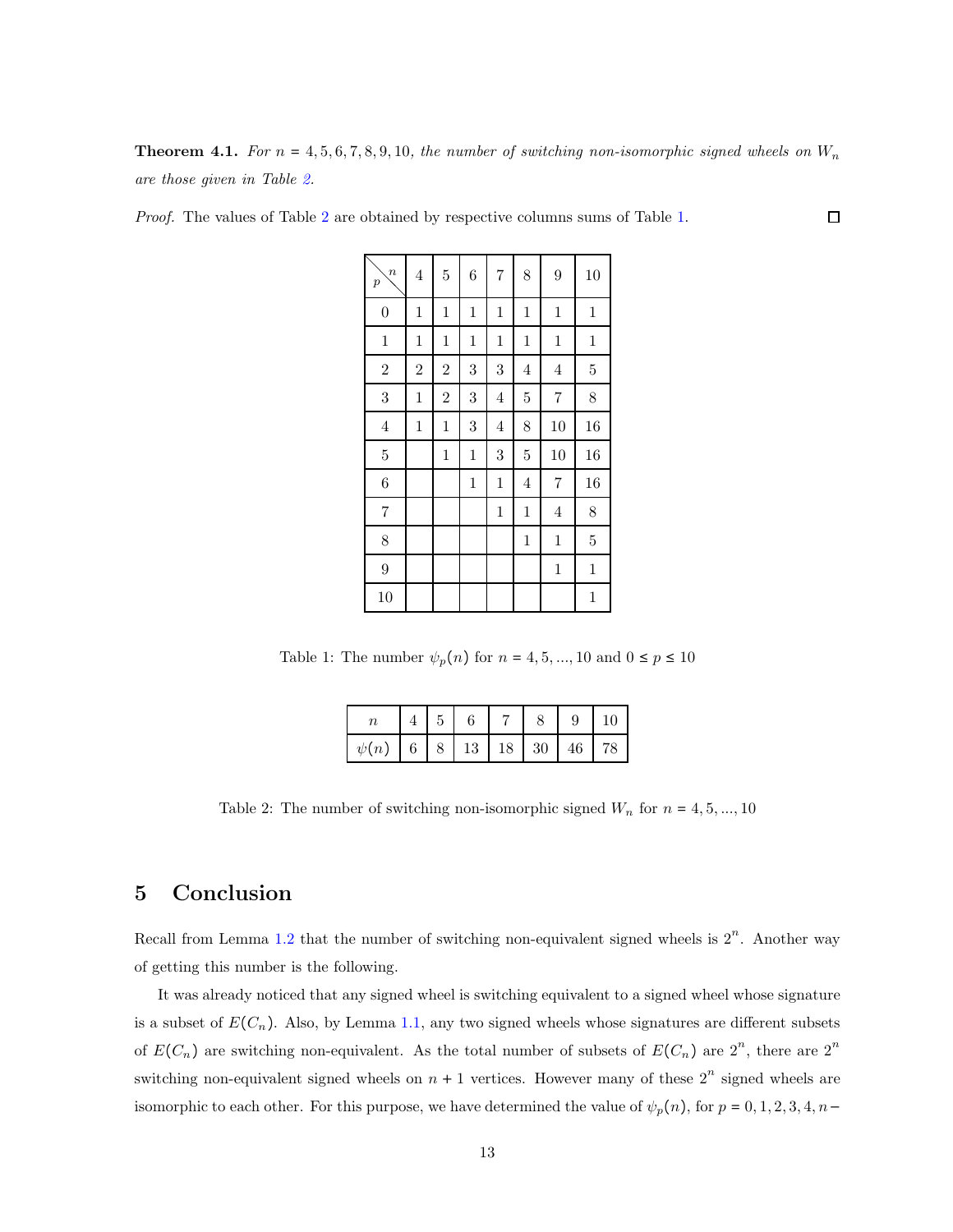**Theorem 4.1.** For  $n = 4, 5, 6, 7, 8, 9, 10$ , the number of switching non-isomorphic signed wheels on  $W_n$ are those given in Table [2.](#page-26-1)

 $\Box$ 

<span id="page-26-0"></span>Proof. The values of Table [2](#page-26-1) are obtained by respective columns sums of Table [1.](#page-26-0)

| $\boldsymbol{n}$<br>$\boldsymbol{p}$ | $\sqrt{4}$     | $\overline{5}$ | 6           | $\overline{7}$ | 8              | 9              | 10             |
|--------------------------------------|----------------|----------------|-------------|----------------|----------------|----------------|----------------|
| $\boldsymbol{0}$                     | $\mathbf{1}$   | $\mathbf{1}$   | $\,1$       | $\mathbf{1}$   | $\,1$          | $\,1$          | $\mathbf{1}$   |
| $\,1$                                | $\mathbf{1}$   | $\mathbf{1}$   | $\,1$       | $\mathbf{1}$   | $\,1$          | $\mathbf{1}$   | $\mathbf{1}$   |
| $\overline{2}$                       | $\overline{2}$ | $\overline{2}$ | 3           | 3              | $\overline{4}$ | $\,4\,$        | $\overline{5}$ |
| 3                                    | $\mathbf{1}$   | $\overline{2}$ | 3           | $\overline{4}$ | $\overline{5}$ | $\overline{7}$ | 8              |
| $\,4\,$                              | $\mathbf{1}$   | $\mathbf{1}$   | 3           | $\overline{4}$ | 8              | 10             | 16             |
| $\bf 5$                              |                | $\mathbf{1}$   | $\,1$       | 3              | $\overline{5}$ | 10             | 16             |
| 6                                    |                |                | $\mathbf 1$ | $\mathbf{1}$   | 4              | $\overline{7}$ | 16             |
| $\overline{7}$                       |                |                |             | $\mathbf{1}$   | $\,1$          | $\,4\,$        | 8              |
| 8                                    |                |                |             |                | $\,1$          | $\mathbf{1}$   | $\overline{5}$ |
| $\overline{9}$                       |                |                |             |                |                | $\mathbf{1}$   | $\mathbf{1}$   |
| 10                                   |                |                |             |                |                |                | $\mathbf{1}$   |

<span id="page-26-1"></span>Table 1: The number  $\psi_p(n)$  for  $n = 4, 5, ..., 10$  and  $0 \le p \le 10$ 

|                              | 5 <sup>5</sup> |  |  | $9 \mid 10$ |
|------------------------------|----------------|--|--|-------------|
| $\psi(n)$ 6 8 13 18 30 46 78 |                |  |  |             |

Table 2: The number of switching non-isomorphic signed  $W_n$  for  $n = 4, 5, ..., 10$ 

# 5 Conclusion

Recall from Lemma [1.2](#page-15-1) that the number of switching non-equivalent signed wheels is  $2^n$ . Another way of getting this number is the following.

It was already noticed that any signed wheel is switching equivalent to a signed wheel whose signature is a subset of  $E(C_n)$ . Also, by Lemma [1.1,](#page-15-0) any two signed wheels whose signatures are different subsets of  $E(C_n)$  are switching non-equivalent. As the total number of subsets of  $E(C_n)$  are  $2^n$ , there are  $2^n$ switching non-equivalent signed wheels on  $n + 1$  vertices. However many of these  $2^n$  signed wheels are isomorphic to each other. For this purpose, we have determined the value of  $\psi_p(n)$ , for  $p = 0, 1, 2, 3, 4, n-$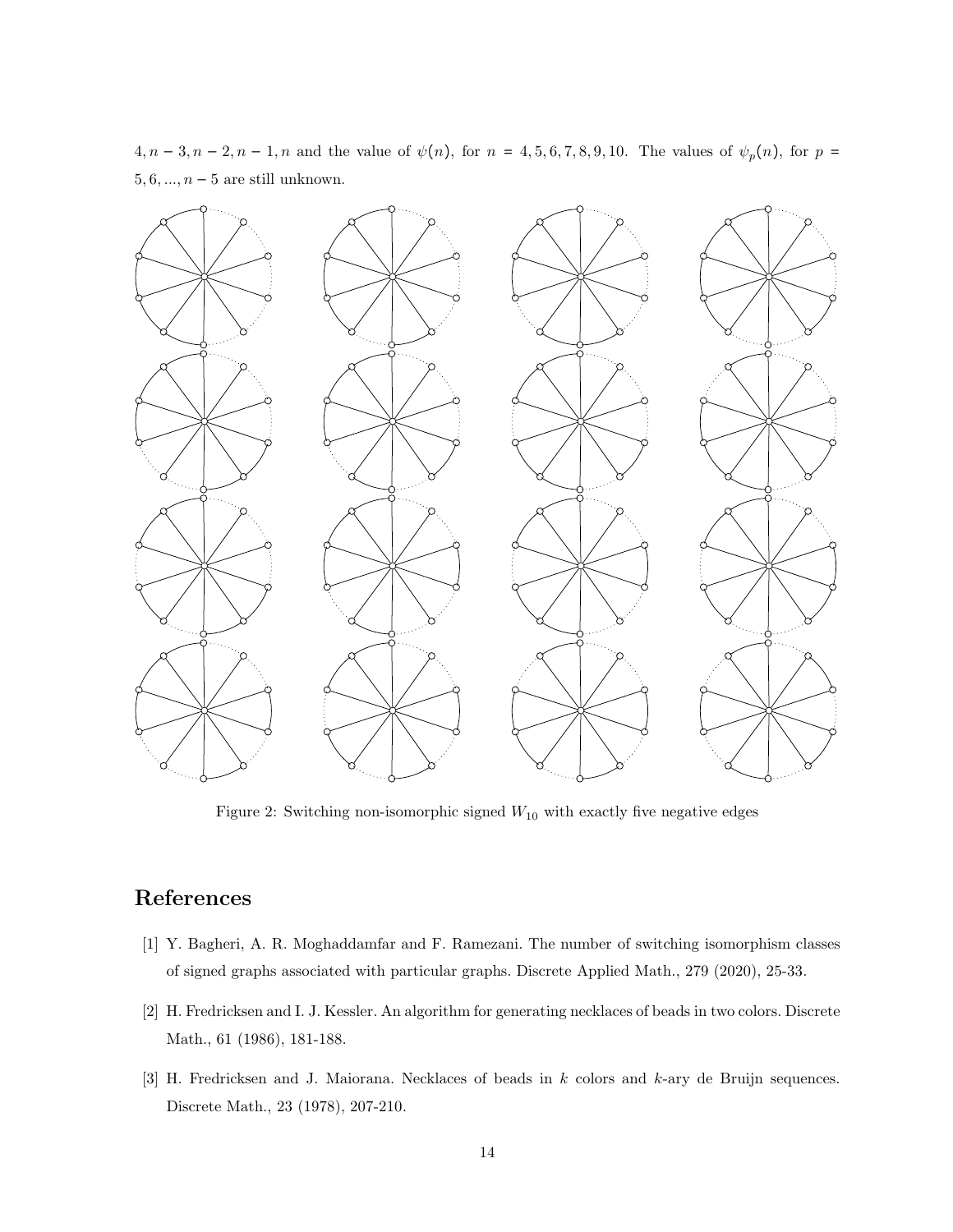<span id="page-27-1"></span>4,  $n-3$ ,  $n-2$ ,  $n-1$ , n and the value of  $\psi(n)$ , for  $n = 4, 5, 6, 7, 8, 9, 10$ . The values of  $\psi_p(n)$ , for  $p =$ 5, 6, ...,  $n-5$  are still unknown.



Figure 2: Switching non-isomorphic signed  $W_{10}$  with exactly five negative edges

## <span id="page-27-0"></span>References

- <span id="page-27-2"></span>[1] Y. Bagheri, A. R. Moghaddamfar and F. Ramezani. The number of switching isomorphism classes of signed graphs associated with particular graphs. Discrete Applied Math., 279 (2020), 25-33.
- <span id="page-27-3"></span>[2] H. Fredricksen and I. J. Kessler. An algorithm for generating necklaces of beads in two colors. Discrete Math., 61 (1986), 181-188.
- [3] H. Fredricksen and J. Maiorana. Necklaces of beads in k colors and k-ary de Bruijn sequences. Discrete Math., 23 (1978), 207-210.